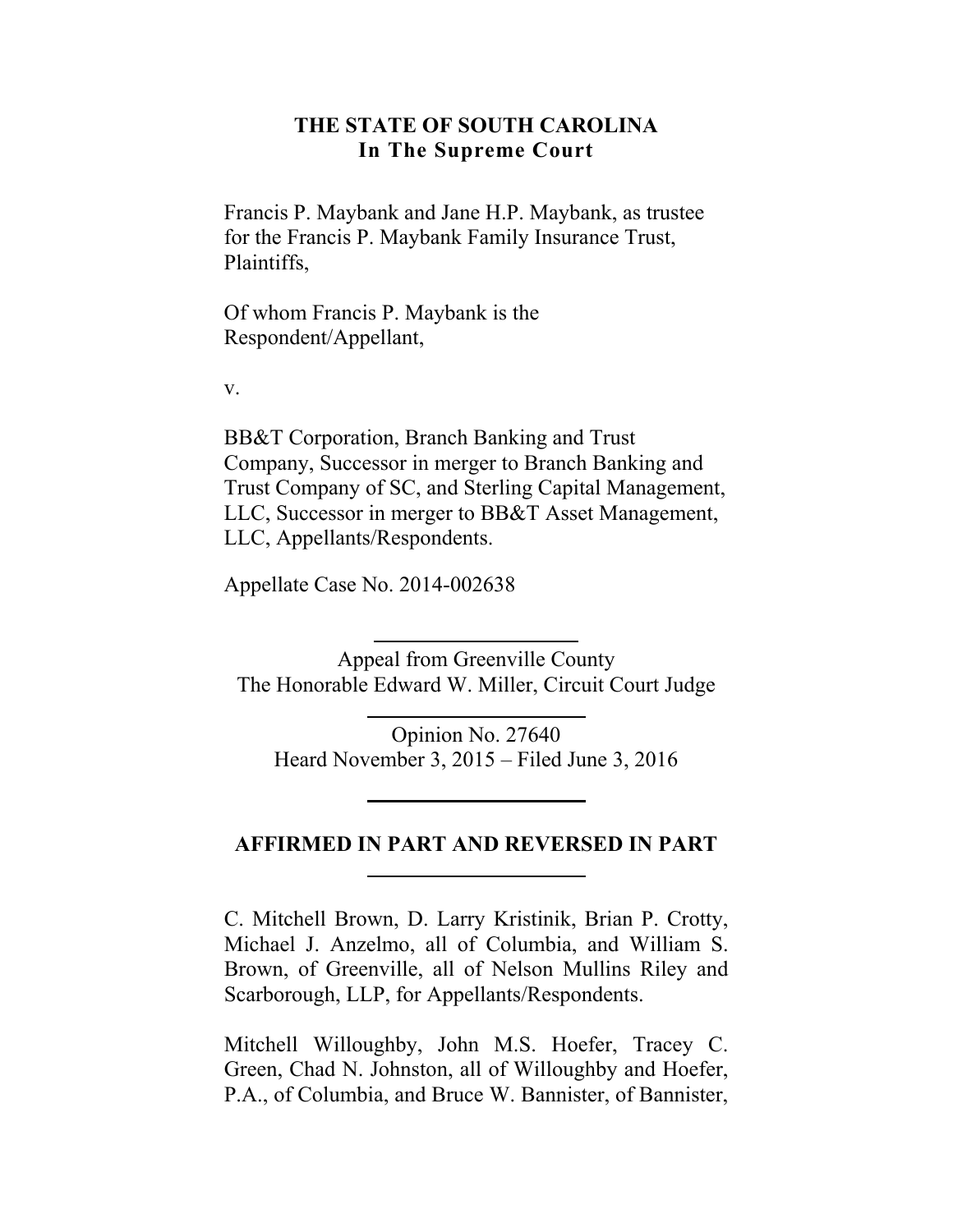## **THE STATE OF SOUTH CAROLINA In The Supreme Court**

Francis P. Maybank and Jane H.P. Maybank, as trustee for the Francis P. Maybank Family Insurance Trust, Plaintiffs,

Of whom Francis P. Maybank is the Respondent/Appellant,

v.

BB&T Corporation, Branch Banking and Trust Company, Successor in merger to Branch Banking and Trust Company of SC, and Sterling Capital Management, LLC, Successor in merger to BB&T Asset Management, LLC, Appellants/Respondents.

Appellate Case No. 2014-002638

Appeal from Greenville County The Honorable Edward W. Miller, Circuit Court Judge

Opinion No. 27640 Heard November 3, 2015 – Filed June 3, 2016

## **AFFIRMED IN PART AND REVERSED IN PART**

C. Mitchell Brown, D. Larry Kristinik, Brian P. Crotty, Michael J. Anzelmo, all of Columbia, and William S. Brown, of Greenville, all of Nelson Mullins Riley and Scarborough, LLP, for Appellants/Respondents.

Mitchell Willoughby, John M.S. Hoefer, Tracey C. Green, Chad N. Johnston, all of Willoughby and Hoefer, P.A., of Columbia, and Bruce W. Bannister, of Bannister,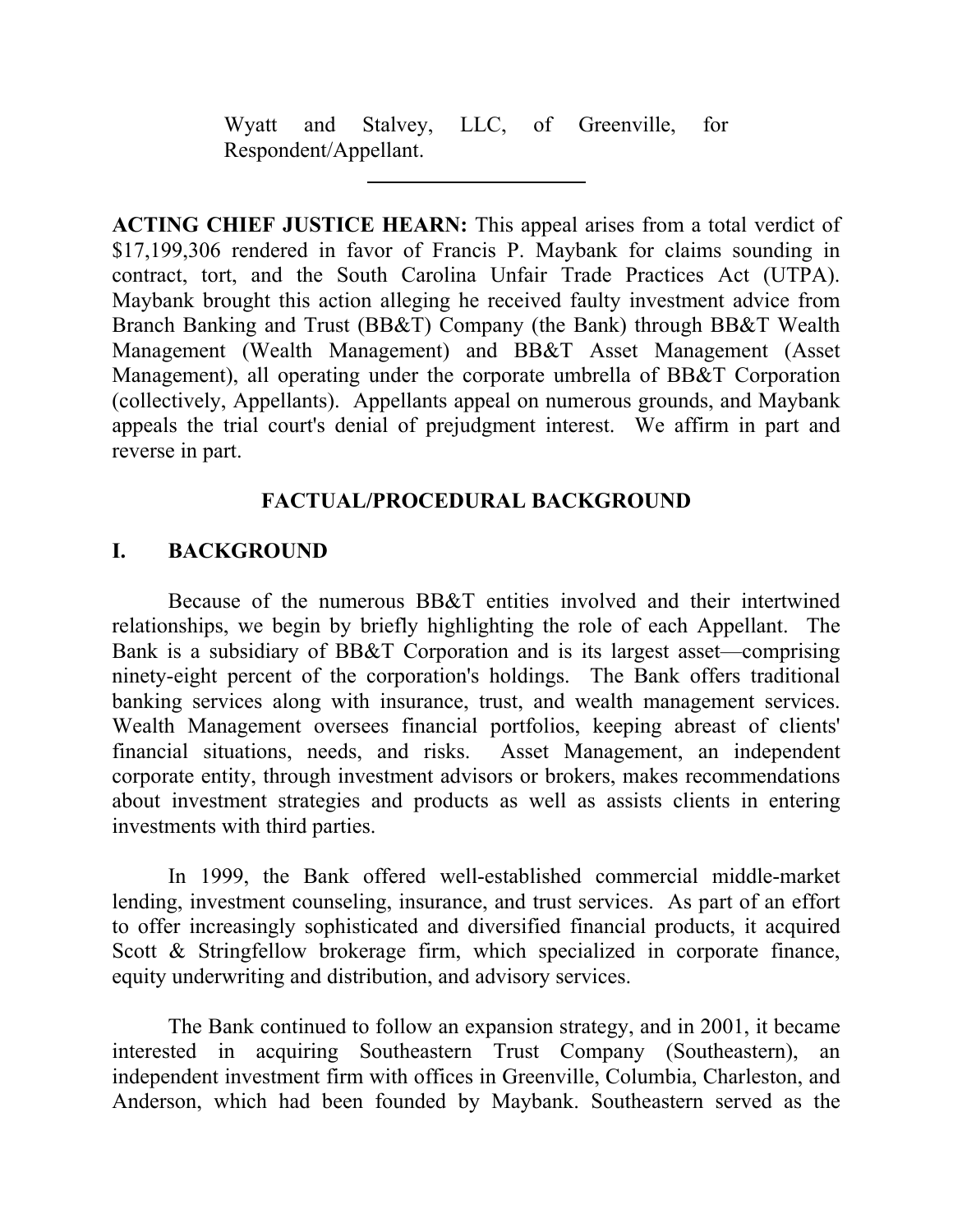Wyatt and Stalvey, LLC, of Greenville, for Respondent/Appellant.

contract, tort, and the South Carolina Unfair Trade Practices Act (UTPA). Branch Banking and Trust (BB&T) Company (the Bank) through BB&T Wealth **ACTING CHIEF JUSTICE HEARN:** This appeal arises from a total verdict of \$17,199,306 rendered in favor of Francis P. Maybank for claims sounding in Maybank brought this action alleging he received faulty investment advice from Management (Wealth Management) and BB&T Asset Management (Asset Management), all operating under the corporate umbrella of BB&T Corporation (collectively, Appellants). Appellants appeal on numerous grounds, and Maybank appeals the trial court's denial of prejudgment interest. We affirm in part and reverse in part.

# **FACTUAL/PROCEDURAL BACKGROUND**

# **I. BACKGROUND**

 ninety-eight percent of the corporation's holdings. The Bank offers traditional Because of the numerous BB&T entities involved and their intertwined relationships, we begin by briefly highlighting the role of each Appellant. The Bank is a subsidiary of BB&T Corporation and is its largest asset—comprising banking services along with insurance, trust, and wealth management services. Wealth Management oversees financial portfolios, keeping abreast of clients' financial situations, needs, and risks. Asset Management, an independent corporate entity, through investment advisors or brokers, makes recommendations about investment strategies and products as well as assists clients in entering investments with third parties.

In 1999, the Bank offered well-established commercial middle-market lending, investment counseling, insurance, and trust services. As part of an effort to offer increasingly sophisticated and diversified financial products, it acquired Scott & Stringfellow brokerage firm, which specialized in corporate finance, equity underwriting and distribution, and advisory services.

The Bank continued to follow an expansion strategy, and in 2001, it became interested in acquiring Southeastern Trust Company (Southeastern), an independent investment firm with offices in Greenville, Columbia, Charleston, and Anderson, which had been founded by Maybank. Southeastern served as the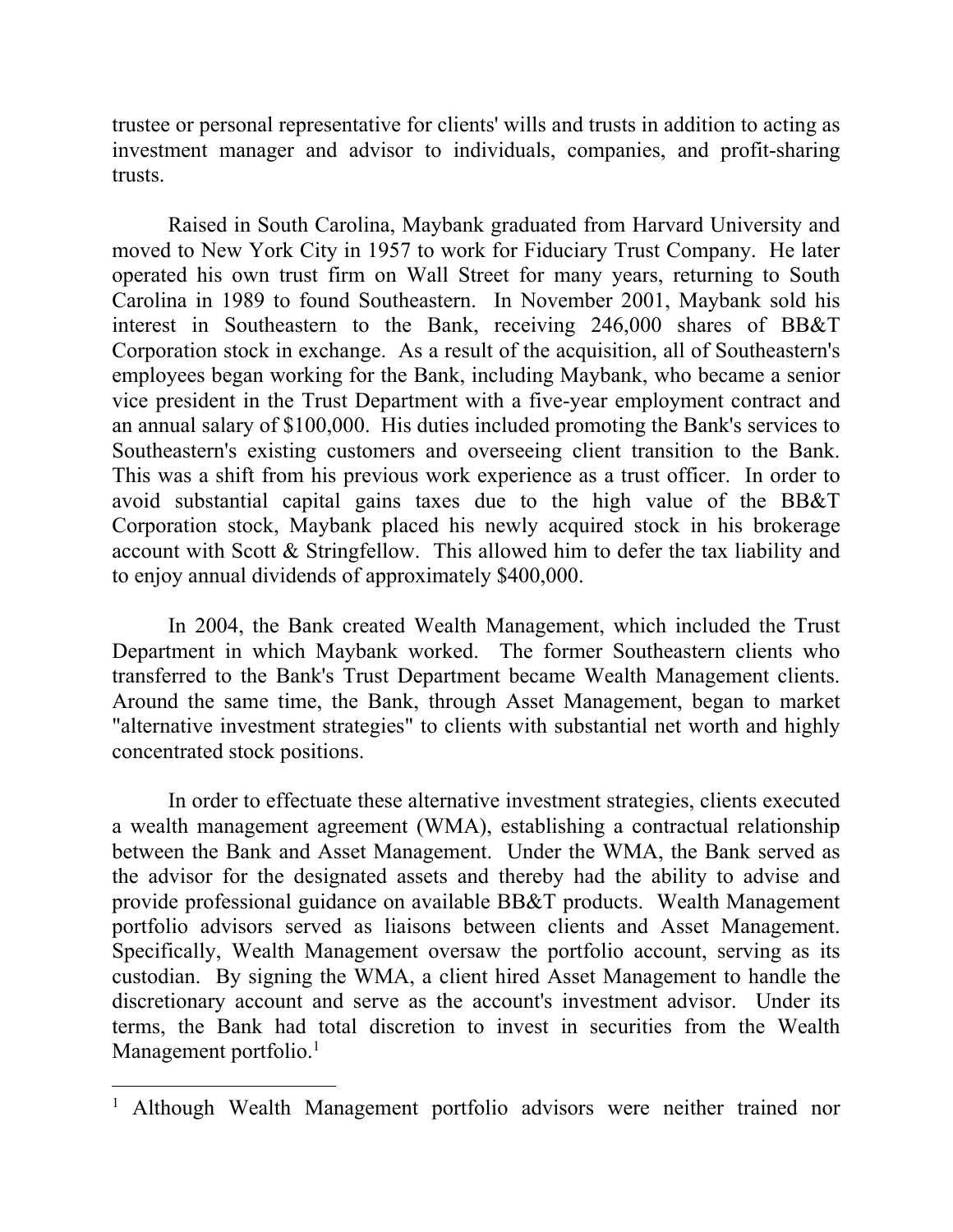trusts. trustee or personal representative for clients' wills and trusts in addition to acting as investment manager and advisor to individuals, companies, and profit-sharing

 moved to New York City in 1957 to work for Fiduciary Trust Company. He later Corporation stock, Maybank placed his newly acquired stock in his brokerage Raised in South Carolina, Maybank graduated from Harvard University and operated his own trust firm on Wall Street for many years, returning to South Carolina in 1989 to found Southeastern. In November 2001, Maybank sold his interest in Southeastern to the Bank, receiving 246,000 shares of BB&T Corporation stock in exchange. As a result of the acquisition, all of Southeastern's employees began working for the Bank, including Maybank, who became a senior vice president in the Trust Department with a five-year employment contract and an annual salary of \$100,000. His duties included promoting the Bank's services to Southeastern's existing customers and overseeing client transition to the Bank. This was a shift from his previous work experience as a trust officer. In order to avoid substantial capital gains taxes due to the high value of the BB&T account with Scott & Stringfellow. This allowed him to defer the tax liability and to enjoy annual dividends of approximately \$400,000.

 Around the same time, the Bank, through Asset Management, began to market concentrated stock positions. In 2004, the Bank created Wealth Management, which included the Trust Department in which Maybank worked. The former Southeastern clients who transferred to the Bank's Trust Department became Wealth Management clients. "alternative investment strategies" to clients with substantial net worth and highly

portfolio advisors served as liaisons between clients and Asset Management. Management portfolio.<sup>1</sup> In order to effectuate these alternative investment strategies, clients executed a wealth management agreement (WMA), establishing a contractual relationship between the Bank and Asset Management. Under the WMA, the Bank served as the advisor for the designated assets and thereby had the ability to advise and provide professional guidance on available BB&T products. Wealth Management Specifically, Wealth Management oversaw the portfolio account, serving as its custodian. By signing the WMA, a client hired Asset Management to handle the discretionary account and serve as the account's investment advisor. Under its terms, the Bank had total discretion to invest in securities from the Wealth

<sup>&</sup>lt;sup>1</sup> Although Wealth Management portfolio advisors were neither trained nor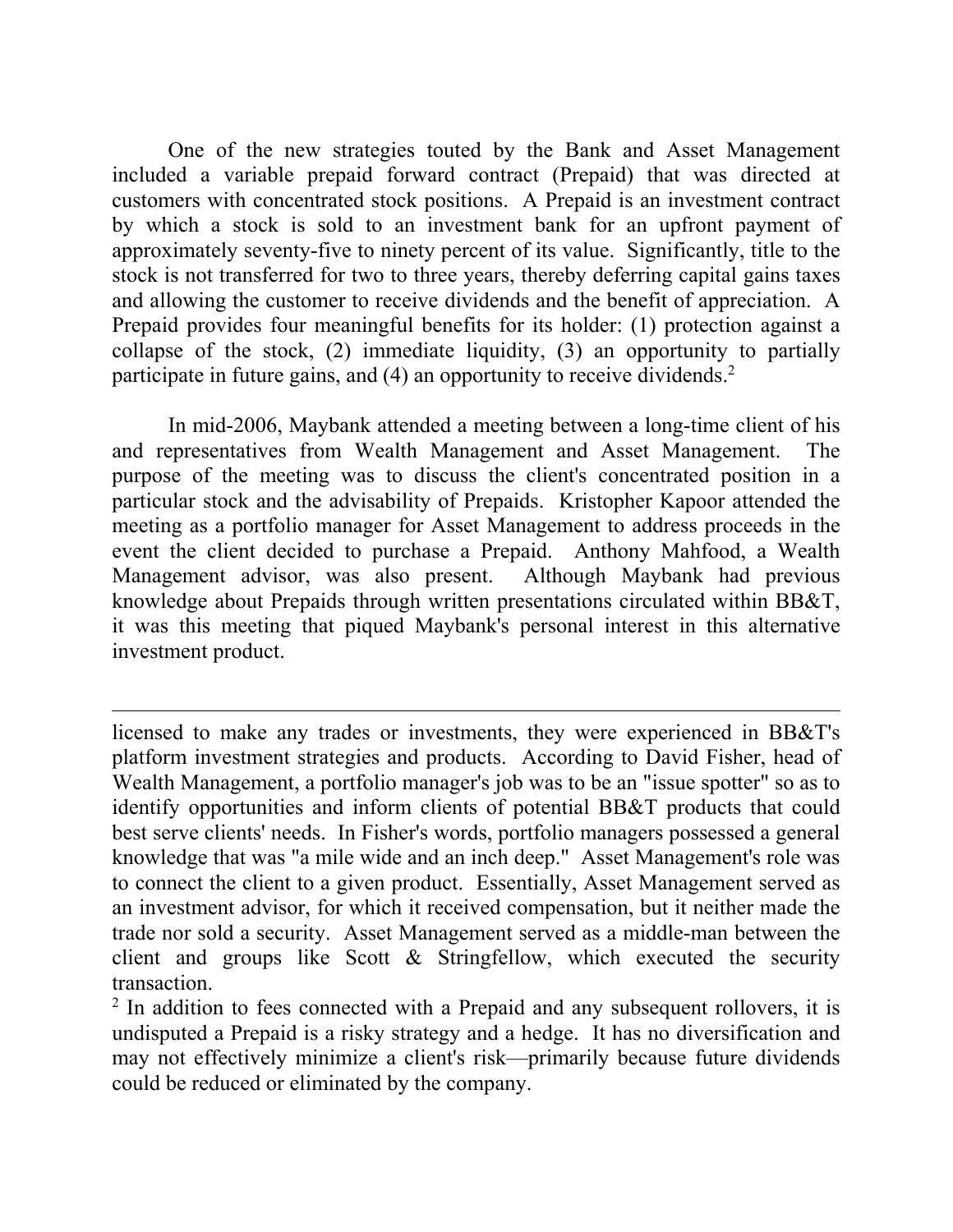included a variable prepaid forward contract (Prepaid) that was directed at  customers with concentrated stock positions. A Prepaid is an investment contract participate in future gains, and (4) an opportunity to receive dividends.<sup>2</sup> One of the new strategies touted by the Bank and Asset Management by which a stock is sold to an investment bank for an upfront payment of approximately seventy-five to ninety percent of its value. Significantly, title to the stock is not transferred for two to three years, thereby deferring capital gains taxes and allowing the customer to receive dividends and the benefit of appreciation. A Prepaid provides four meaningful benefits for its holder: (1) protection against a collapse of the stock, (2) immediate liquidity, (3) an opportunity to partially

 event the client decided to purchase a Prepaid. Anthony Mahfood, a Wealth In mid-2006, Maybank attended a meeting between a long-time client of his and representatives from Wealth Management and Asset Management. The purpose of the meeting was to discuss the client's concentrated position in a particular stock and the advisability of Prepaids. Kristopher Kapoor attended the meeting as a portfolio manager for Asset Management to address proceeds in the Management advisor, was also present. Although Maybank had previous knowledge about Prepaids through written presentations circulated within BB&T, it was this meeting that piqued Maybank's personal interest in this alternative investment product.

 Wealth Management, a portfolio manager's job was to be an "issue spotter" so as to best serve clients' needs. In Fisher's words, portfolio managers possessed a general licensed to make any trades or investments, they were experienced in BB&T's platform investment strategies and products. According to David Fisher, head of identify opportunities and inform clients of potential BB&T products that could knowledge that was "a mile wide and an inch deep." Asset Management's role was to connect the client to a given product. Essentially, Asset Management served as an investment advisor, for which it received compensation, but it neither made the trade nor sold a security. Asset Management served as a middle-man between the client and groups like Scott & Stringfellow, which executed the security transaction.

 $\overline{a}$ 

 undisputed a Prepaid is a risky strategy and a hedge. It has no diversification and  $2$  In addition to fees connected with a Prepaid and any subsequent rollovers, it is may not effectively minimize a client's risk—primarily because future dividends could be reduced or eliminated by the company.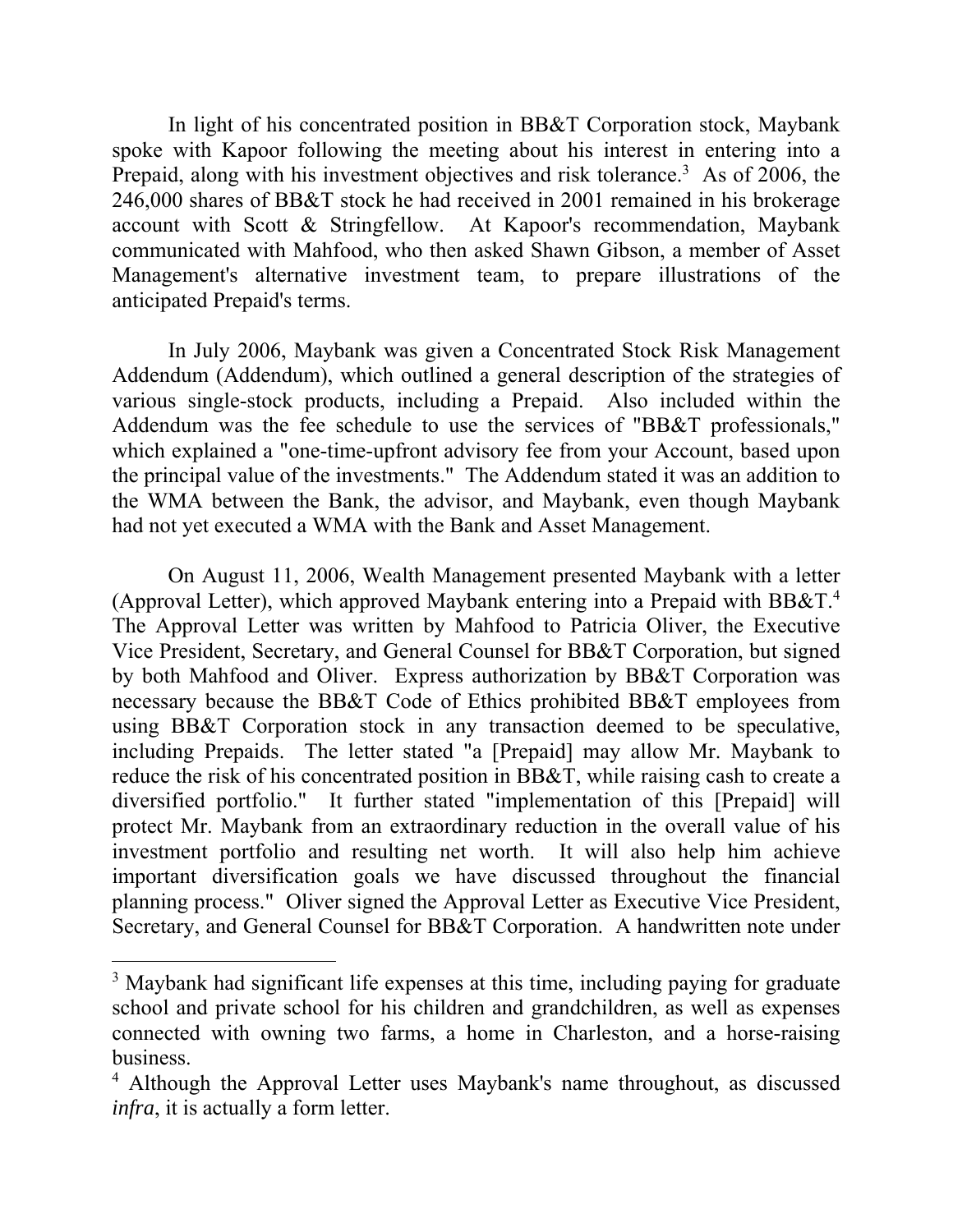spoke with Kapoor following the meeting about his interest in entering into a Prepaid, along with his investment objectives and risk tolerance.<sup>3</sup> As of 2006, the anticipated Prepaid's terms. In light of his concentrated position in BB&T Corporation stock, Maybank 246,000 shares of BB&T stock he had received in 2001 remained in his brokerage account with Scott & Stringfellow. At Kapoor's recommendation, Maybank communicated with Mahfood, who then asked Shawn Gibson, a member of Asset Management's alternative investment team, to prepare illustrations of the

 various single-stock products, including a Prepaid. Also included within the In July 2006, Maybank was given a Concentrated Stock Risk Management Addendum (Addendum), which outlined a general description of the strategies of Addendum was the fee schedule to use the services of "BB&T professionals," which explained a "one-time-upfront advisory fee from your Account, based upon the principal value of the investments." The Addendum stated it was an addition to the WMA between the Bank, the advisor, and Maybank, even though Maybank had not yet executed a WMA with the Bank and Asset Management.

(Approval Letter), which approved Maybank entering into a Prepaid with BB&T.<sup>4</sup> diversified portfolio." It further stated "implementation of this [Prepaid] will Secretary, and General Counsel for BB&T Corporation. A handwritten note under On August 11, 2006, Wealth Management presented Maybank with a letter The Approval Letter was written by Mahfood to Patricia Oliver, the Executive Vice President, Secretary, and General Counsel for BB&T Corporation, but signed by both Mahfood and Oliver. Express authorization by BB&T Corporation was necessary because the BB&T Code of Ethics prohibited BB&T employees from using BB&T Corporation stock in any transaction deemed to be speculative, including Prepaids. The letter stated "a [Prepaid] may allow Mr. Maybank to reduce the risk of his concentrated position in BB&T, while raising cash to create a protect Mr. Maybank from an extraordinary reduction in the overall value of his investment portfolio and resulting net worth. It will also help him achieve important diversification goals we have discussed throughout the financial planning process." Oliver signed the Approval Letter as Executive Vice President,

<sup>&</sup>lt;sup>3</sup> Maybank had significant life expenses at this time, including paying for graduate school and private school for his children and grandchildren, as well as expenses connected with owning two farms, a home in Charleston, and a horse-raising business.

<sup>4</sup> Although the Approval Letter uses Maybank's name throughout, as discussed *infra*, it is actually a form letter.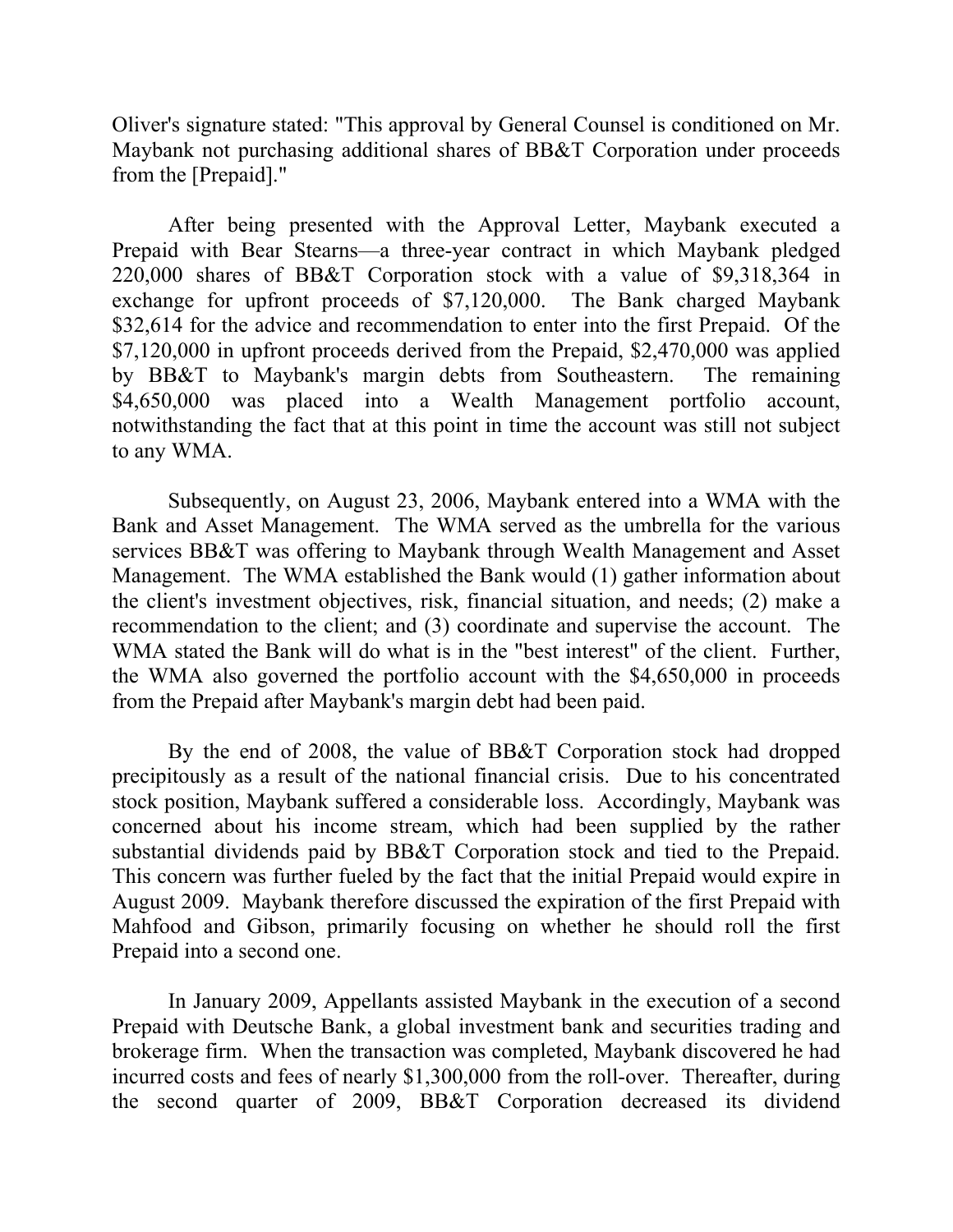Oliver's signature stated: "This approval by General Counsel is conditioned on Mr. Maybank not purchasing additional shares of BB&T Corporation under proceeds from the [Prepaid]."

After being presented with the Approval Letter, Maybank executed a Prepaid with Bear Stearns—a three-year contract in which Maybank pledged 220,000 shares of BB&T Corporation stock with a value of \$9,318,364 in exchange for upfront proceeds of \$7,120,000. The Bank charged Maybank \$32,614 for the advice and recommendation to enter into the first Prepaid. Of the \$7,120,000 in upfront proceeds derived from the Prepaid, \$2,470,000 was applied by BB&T to Maybank's margin debts from Southeastern. The remaining \$4,650,000 was placed into a Wealth Management portfolio account, notwithstanding the fact that at this point in time the account was still not subject to any WMA.

 services BB&T was offering to Maybank through Wealth Management and Asset Subsequently, on August 23, 2006, Maybank entered into a WMA with the Bank and Asset Management. The WMA served as the umbrella for the various Management. The WMA established the Bank would (1) gather information about the client's investment objectives, risk, financial situation, and needs; (2) make a recommendation to the client; and (3) coordinate and supervise the account. The WMA stated the Bank will do what is in the "best interest" of the client. Further, the WMA also governed the portfolio account with the \$4,650,000 in proceeds from the Prepaid after Maybank's margin debt had been paid.

substantial dividends paid by BB&T Corporation stock and tied to the Prepaid. By the end of 2008, the value of BB&T Corporation stock had dropped precipitously as a result of the national financial crisis. Due to his concentrated stock position, Maybank suffered a considerable loss. Accordingly, Maybank was concerned about his income stream, which had been supplied by the rather This concern was further fueled by the fact that the initial Prepaid would expire in August 2009. Maybank therefore discussed the expiration of the first Prepaid with Mahfood and Gibson, primarily focusing on whether he should roll the first Prepaid into a second one.

 brokerage firm. When the transaction was completed, Maybank discovered he had In January 2009, Appellants assisted Maybank in the execution of a second Prepaid with Deutsche Bank, a global investment bank and securities trading and incurred costs and fees of nearly \$1,300,000 from the roll-over. Thereafter, during the second quarter of 2009, BB&T Corporation decreased its dividend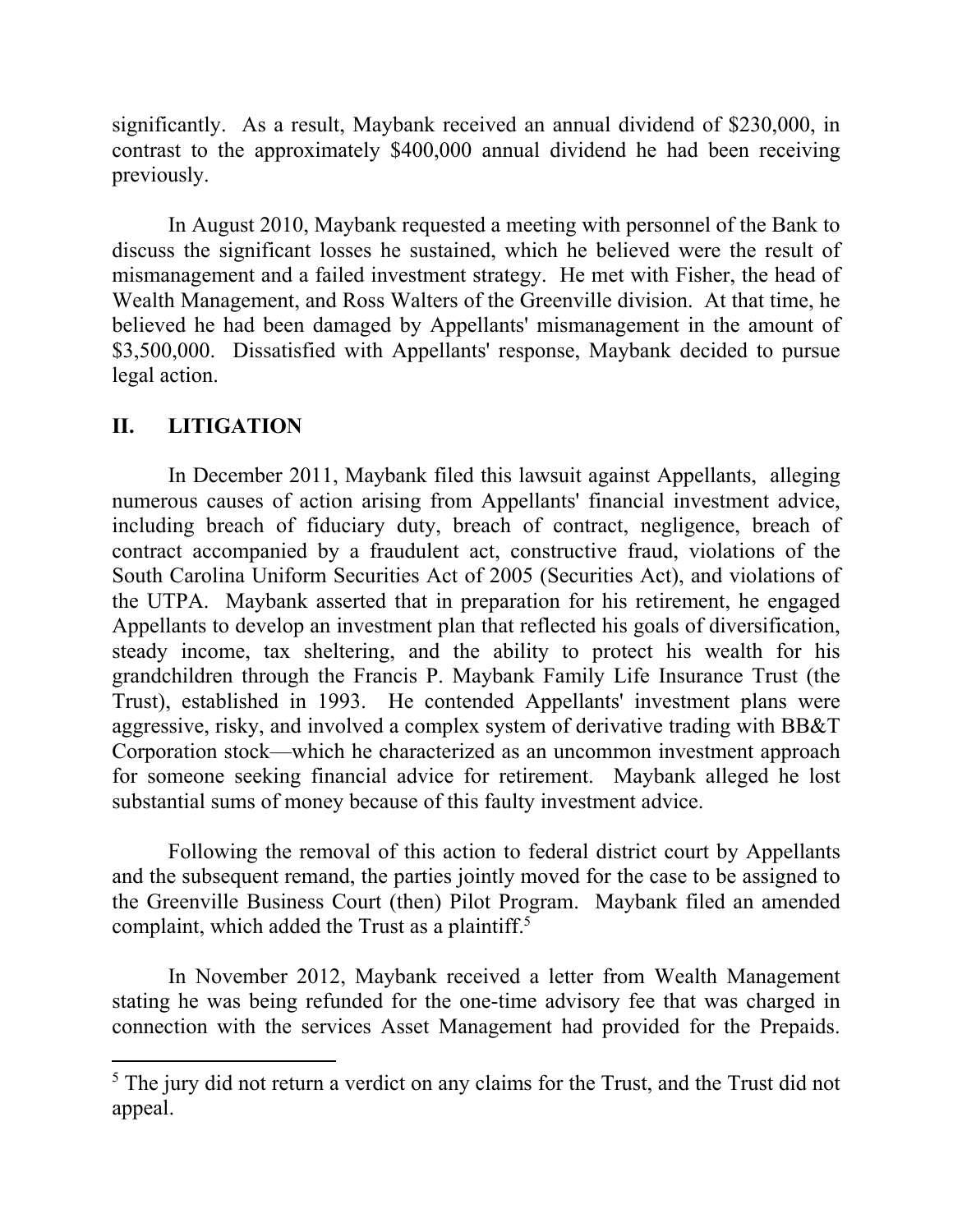significantly. As a result, Maybank received an annual dividend of \$230,000, in contrast to the approximately \$400,000 annual dividend he had been receiving previously.

 Wealth Management, and Ross Walters of the Greenville division. At that time, he  \$3,500,000. Dissatisfied with Appellants' response, Maybank decided to pursue In August 2010, Maybank requested a meeting with personnel of the Bank to discuss the significant losses he sustained, which he believed were the result of mismanagement and a failed investment strategy. He met with Fisher, the head of believed he had been damaged by Appellants' mismanagement in the amount of legal action.

# **II. LITIGATION**

 $\overline{a}$ 

 numerous causes of action arising from Appellants' financial investment advice, the UTPA. Maybank asserted that in preparation for his retirement, he engaged In December 2011, Maybank filed this lawsuit against Appellants, alleging including breach of fiduciary duty, breach of contract, negligence, breach of contract accompanied by a fraudulent act, constructive fraud, violations of the South Carolina Uniform Securities Act of 2005 (Securities Act), and violations of Appellants to develop an investment plan that reflected his goals of diversification, steady income, tax sheltering, and the ability to protect his wealth for his grandchildren through the Francis P. Maybank Family Life Insurance Trust (the Trust), established in 1993. He contended Appellants' investment plans were aggressive, risky, and involved a complex system of derivative trading with BB&T Corporation stock—which he characterized as an uncommon investment approach for someone seeking financial advice for retirement. Maybank alleged he lost substantial sums of money because of this faulty investment advice.

complaint, which added the Trust as a plaintiff.<sup>5</sup> Following the removal of this action to federal district court by Appellants and the subsequent remand, the parties jointly moved for the case to be assigned to the Greenville Business Court (then) Pilot Program. Maybank filed an amended

In November 2012, Maybank received a letter from Wealth Management stating he was being refunded for the one-time advisory fee that was charged in connection with the services Asset Management had provided for the Prepaids.

<sup>&</sup>lt;sup>5</sup> The jury did not return a verdict on any claims for the Trust, and the Trust did not appeal.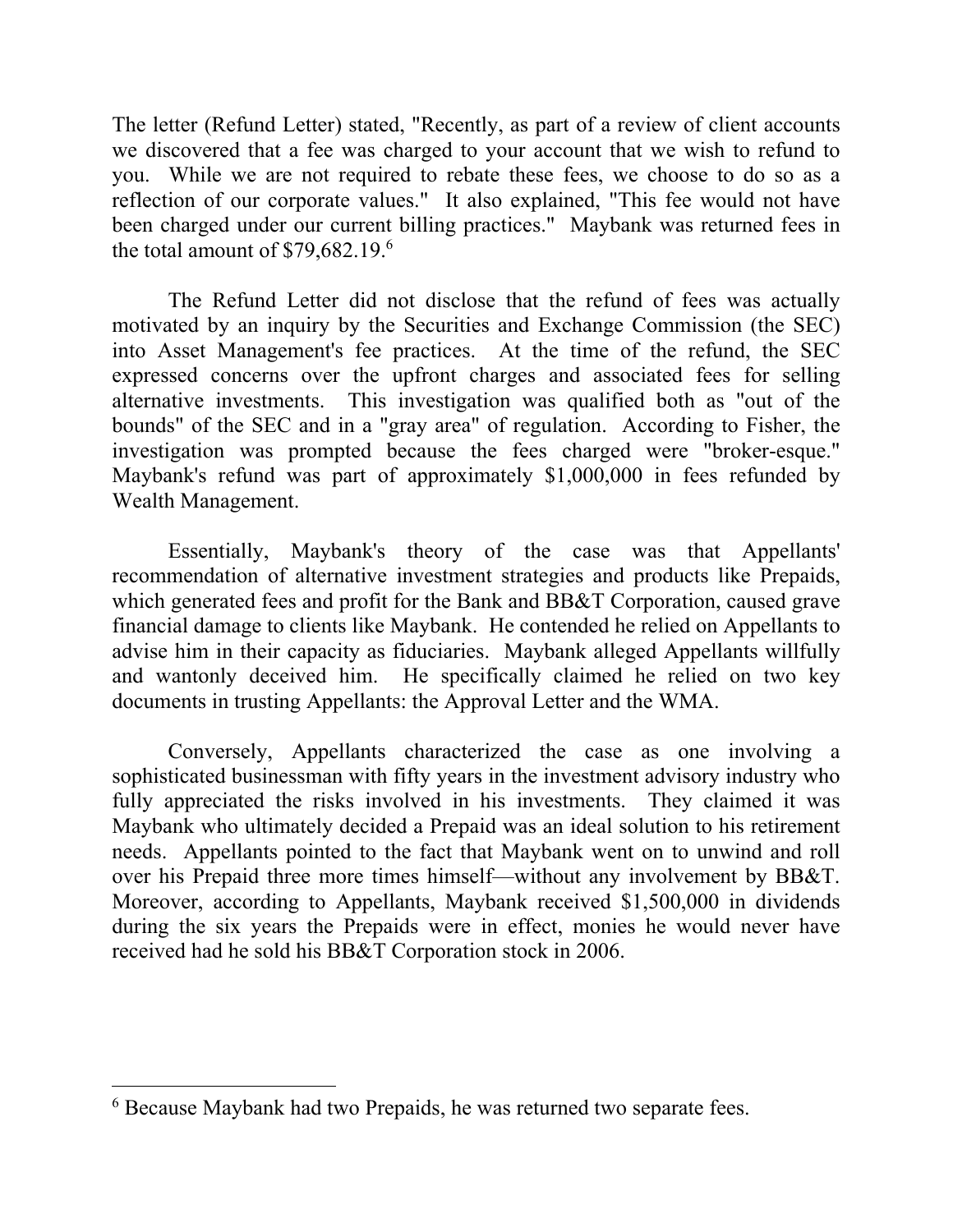the total amount of \$79,682.19.6 The letter (Refund Letter) stated, "Recently, as part of a review of client accounts we discovered that a fee was charged to your account that we wish to refund to you. While we are not required to rebate these fees, we choose to do so as a reflection of our corporate values." It also explained, "This fee would not have been charged under our current billing practices." Maybank was returned fees in

 bounds" of the SEC and in a "gray area" of regulation. According to Fisher, the The Refund Letter did not disclose that the refund of fees was actually motivated by an inquiry by the Securities and Exchange Commission (the SEC) into Asset Management's fee practices. At the time of the refund, the SEC expressed concerns over the upfront charges and associated fees for selling alternative investments. This investigation was qualified both as "out of the investigation was prompted because the fees charged were "broker-esque." Maybank's refund was part of approximately \$1,000,000 in fees refunded by Wealth Management.

Essentially, Maybank's theory of the case was that Appellants' recommendation of alternative investment strategies and products like Prepaids, which generated fees and profit for the Bank and BB&T Corporation, caused grave financial damage to clients like Maybank. He contended he relied on Appellants to advise him in their capacity as fiduciaries. Maybank alleged Appellants willfully and wantonly deceived him. He specifically claimed he relied on two key documents in trusting Appellants: the Approval Letter and the WMA.

fully appreciated the risks involved in his investments. They claimed it was over his Prepaid three more times himself—without any involvement by BB&T. Conversely, Appellants characterized the case as one involving a sophisticated businessman with fifty years in the investment advisory industry who Maybank who ultimately decided a Prepaid was an ideal solution to his retirement needs. Appellants pointed to the fact that Maybank went on to unwind and roll Moreover, according to Appellants, Maybank received \$1,500,000 in dividends during the six years the Prepaids were in effect, monies he would never have received had he sold his BB&T Corporation stock in 2006.

<sup>&</sup>lt;sup>6</sup> Because Maybank had two Prepaids, he was returned two separate fees.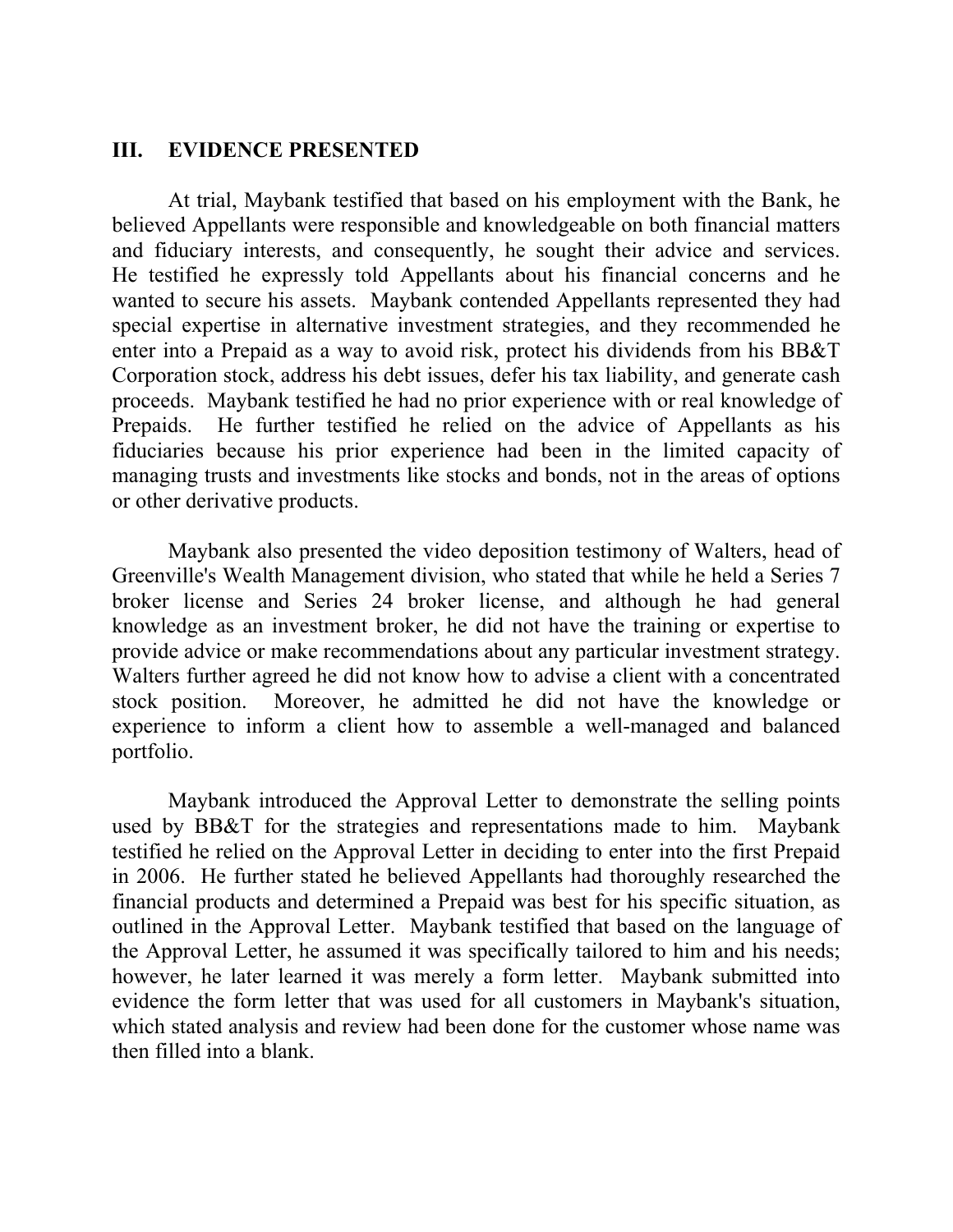#### **III. EVIDENCE PRESENTED**

or other derivative products. At trial, Maybank testified that based on his employment with the Bank, he believed Appellants were responsible and knowledgeable on both financial matters and fiduciary interests, and consequently, he sought their advice and services. He testified he expressly told Appellants about his financial concerns and he wanted to secure his assets. Maybank contended Appellants represented they had special expertise in alternative investment strategies, and they recommended he enter into a Prepaid as a way to avoid risk, protect his dividends from his BB&T Corporation stock, address his debt issues, defer his tax liability, and generate cash proceeds. Maybank testified he had no prior experience with or real knowledge of Prepaids. He further testified he relied on the advice of Appellants as his fiduciaries because his prior experience had been in the limited capacity of managing trusts and investments like stocks and bonds, not in the areas of options

Maybank also presented the video deposition testimony of Walters, head of Greenville's Wealth Management division, who stated that while he held a Series 7 broker license and Series 24 broker license, and although he had general knowledge as an investment broker, he did not have the training or expertise to provide advice or make recommendations about any particular investment strategy. Walters further agreed he did not know how to advise a client with a concentrated stock position. Moreover, he admitted he did not have the knowledge or experience to inform a client how to assemble a well-managed and balanced portfolio.

 however, he later learned it was merely a form letter. Maybank submitted into Maybank introduced the Approval Letter to demonstrate the selling points used by BB&T for the strategies and representations made to him. Maybank testified he relied on the Approval Letter in deciding to enter into the first Prepaid in 2006. He further stated he believed Appellants had thoroughly researched the financial products and determined a Prepaid was best for his specific situation, as outlined in the Approval Letter. Maybank testified that based on the language of the Approval Letter, he assumed it was specifically tailored to him and his needs; evidence the form letter that was used for all customers in Maybank's situation, which stated analysis and review had been done for the customer whose name was then filled into a blank.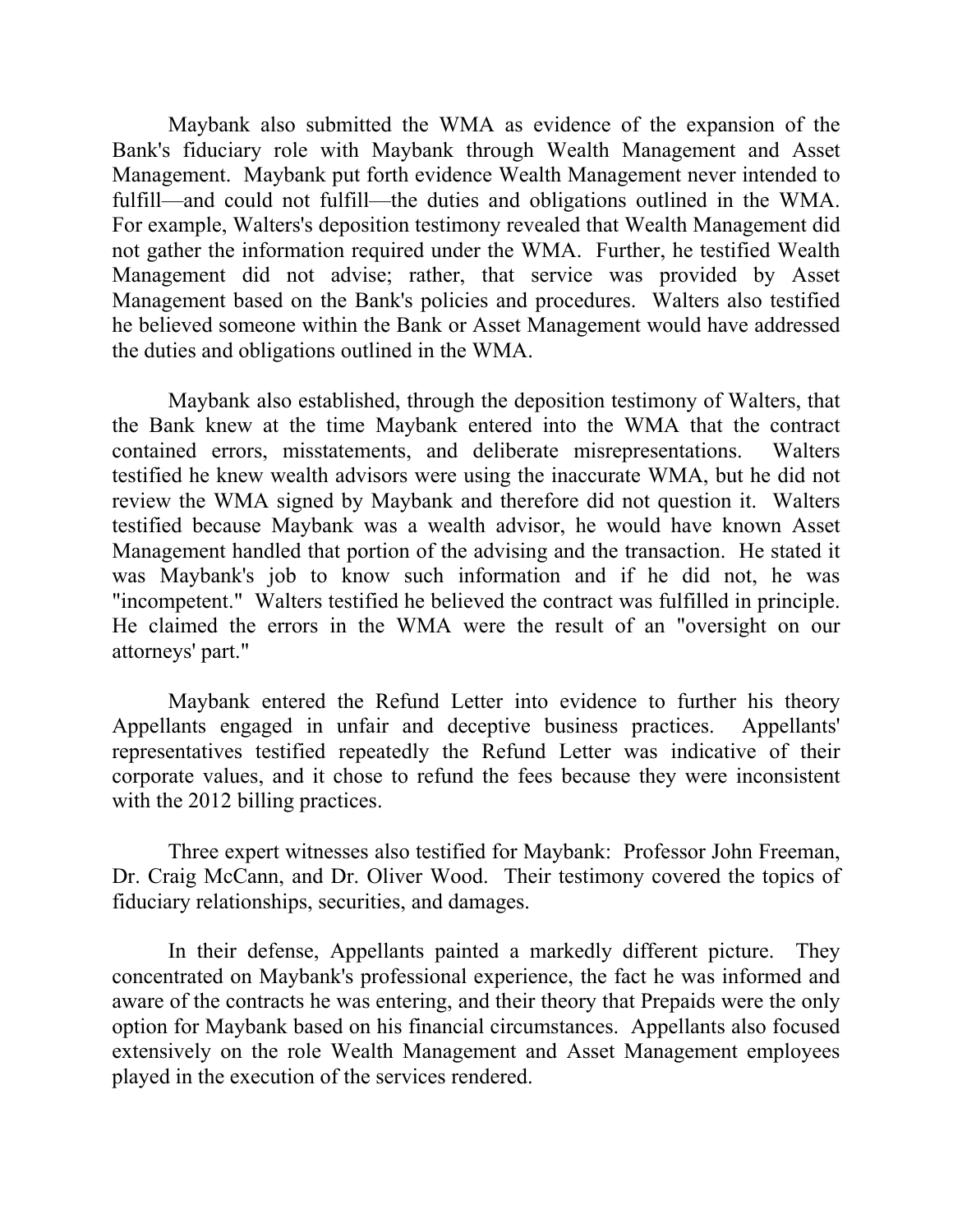Maybank also submitted the WMA as evidence of the expansion of the Bank's fiduciary role with Maybank through Wealth Management and Asset Management. Maybank put forth evidence Wealth Management never intended to fulfill—and could not fulfill—the duties and obligations outlined in the WMA. For example, Walters's deposition testimony revealed that Wealth Management did not gather the information required under the WMA. Further, he testified Wealth Management did not advise; rather, that service was provided by Asset Management based on the Bank's policies and procedures. Walters also testified he believed someone within the Bank or Asset Management would have addressed the duties and obligations outlined in the WMA.

 the Bank knew at the time Maybank entered into the WMA that the contract review the WMA signed by Maybank and therefore did not question it. Walters He claimed the errors in the WMA were the result of an "oversight on our Maybank also established, through the deposition testimony of Walters, that contained errors, misstatements, and deliberate misrepresentations. Walters testified he knew wealth advisors were using the inaccurate WMA, but he did not testified because Maybank was a wealth advisor, he would have known Asset Management handled that portion of the advising and the transaction. He stated it was Maybank's job to know such information and if he did not, he was "incompetent." Walters testified he believed the contract was fulfilled in principle. attorneys' part."

Maybank entered the Refund Letter into evidence to further his theory Appellants engaged in unfair and deceptive business practices. Appellants' representatives testified repeatedly the Refund Letter was indicative of their corporate values, and it chose to refund the fees because they were inconsistent with the 2012 billing practices.

Three expert witnesses also testified for Maybank: Professor John Freeman, Dr. Craig McCann, and Dr. Oliver Wood. Their testimony covered the topics of fiduciary relationships, securities, and damages.

In their defense, Appellants painted a markedly different picture. They concentrated on Maybank's professional experience, the fact he was informed and aware of the contracts he was entering, and their theory that Prepaids were the only option for Maybank based on his financial circumstances. Appellants also focused extensively on the role Wealth Management and Asset Management employees played in the execution of the services rendered.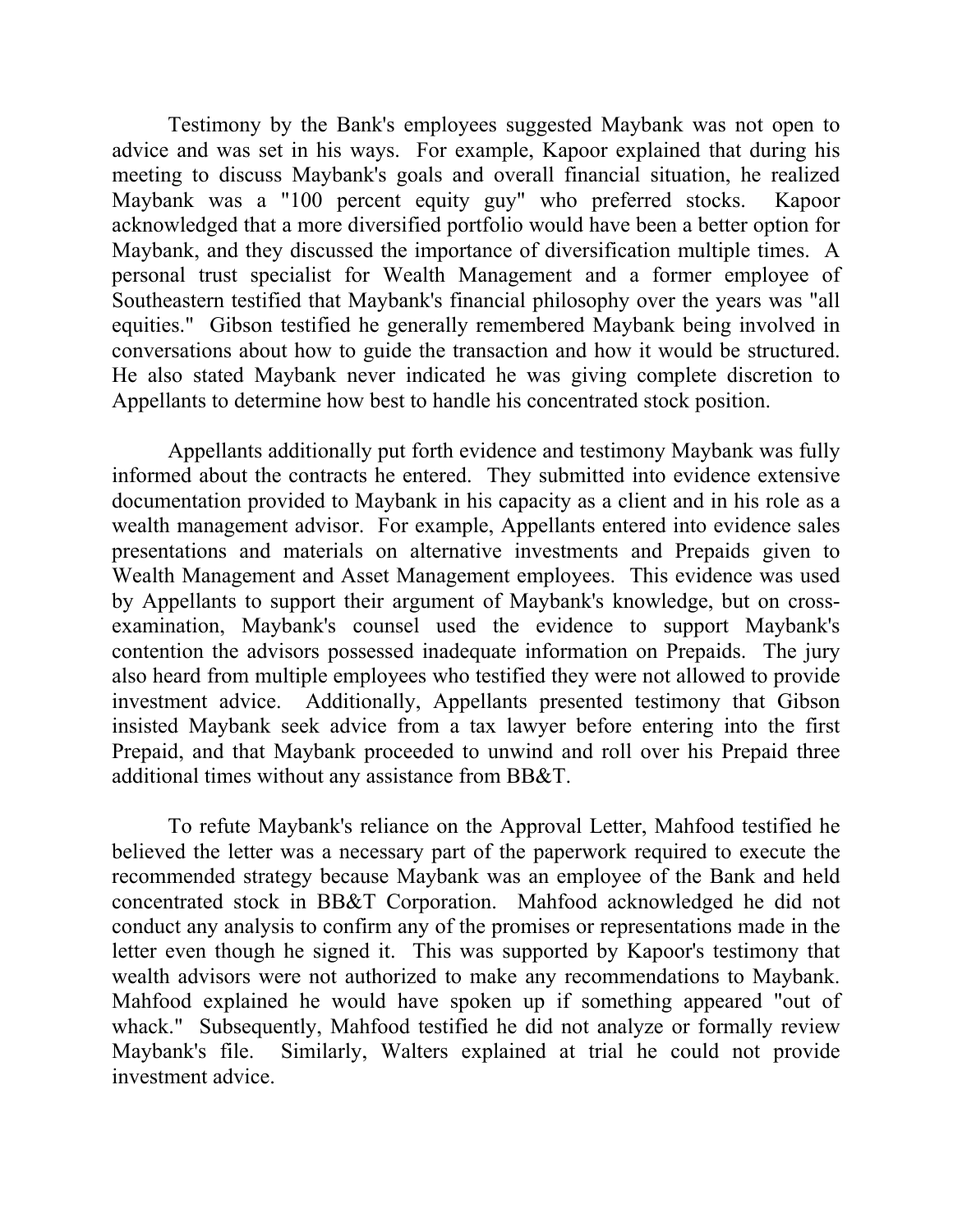advice and was set in his ways. For example, Kapoor explained that during his meeting to discuss Maybank's goals and overall financial situation, he realized  Maybank, and they discussed the importance of diversification multiple times. A Southeastern testified that Maybank's financial philosophy over the years was "all conversations about how to guide the transaction and how it would be structured. Testimony by the Bank's employees suggested Maybank was not open to Maybank was a "100 percent equity guy" who preferred stocks. Kapoor acknowledged that a more diversified portfolio would have been a better option for personal trust specialist for Wealth Management and a former employee of equities." Gibson testified he generally remembered Maybank being involved in He also stated Maybank never indicated he was giving complete discretion to Appellants to determine how best to handle his concentrated stock position.

 Wealth Management and Asset Management employees. This evidence was used by Appellants to support their argument of Maybank's knowledge, but on cross- contention the advisors possessed inadequate information on Prepaids. The jury also heard from multiple employees who testified they were not allowed to provide Appellants additionally put forth evidence and testimony Maybank was fully informed about the contracts he entered. They submitted into evidence extensive documentation provided to Maybank in his capacity as a client and in his role as a wealth management advisor. For example, Appellants entered into evidence sales presentations and materials on alternative investments and Prepaids given to examination, Maybank's counsel used the evidence to support Maybank's investment advice. Additionally, Appellants presented testimony that Gibson insisted Maybank seek advice from a tax lawyer before entering into the first Prepaid, and that Maybank proceeded to unwind and roll over his Prepaid three additional times without any assistance from BB&T.

 letter even though he signed it. This was supported by Kapoor's testimony that To refute Maybank's reliance on the Approval Letter, Mahfood testified he believed the letter was a necessary part of the paperwork required to execute the recommended strategy because Maybank was an employee of the Bank and held concentrated stock in BB&T Corporation. Mahfood acknowledged he did not conduct any analysis to confirm any of the promises or representations made in the wealth advisors were not authorized to make any recommendations to Maybank. Mahfood explained he would have spoken up if something appeared "out of whack." Subsequently, Mahfood testified he did not analyze or formally review Maybank's file. Similarly, Walters explained at trial he could not provide investment advice.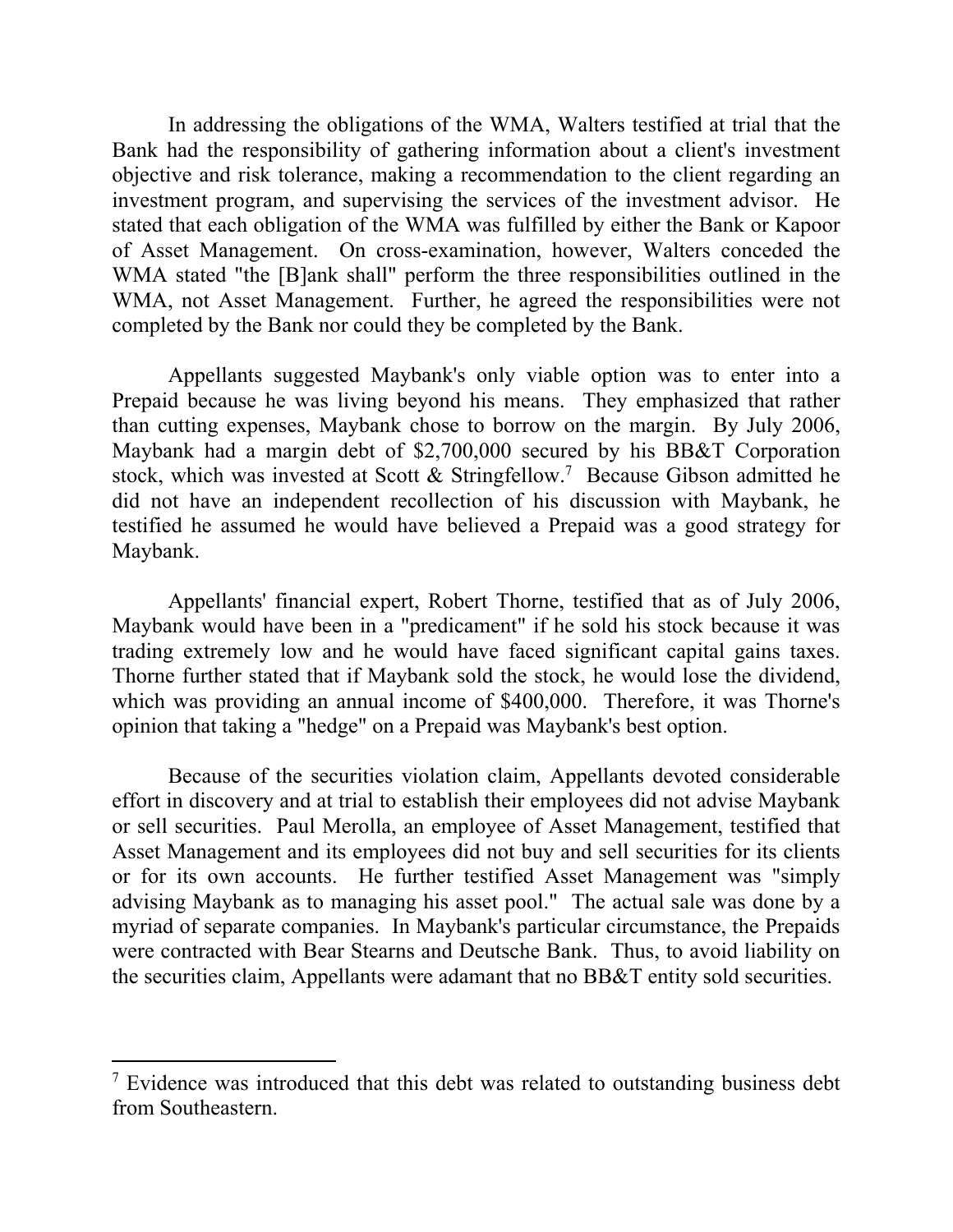In addressing the obligations of the WMA, Walters testified at trial that the Bank had the responsibility of gathering information about a client's investment objective and risk tolerance, making a recommendation to the client regarding an investment program, and supervising the services of the investment advisor. He stated that each obligation of the WMA was fulfilled by either the Bank or Kapoor of Asset Management. On cross-examination, however, Walters conceded the WMA stated "the [B]ank shall" perform the three responsibilities outlined in the WMA, not Asset Management. Further, he agreed the responsibilities were not completed by the Bank nor could they be completed by the Bank.

 Prepaid because he was living beyond his means. They emphasized that rather stock, which was invested at Scott & Stringfellow.<sup>7</sup> Because Gibson admitted he Appellants suggested Maybank's only viable option was to enter into a than cutting expenses, Maybank chose to borrow on the margin. By July 2006, Maybank had a margin debt of \$2,700,000 secured by his BB&T Corporation did not have an independent recollection of his discussion with Maybank, he testified he assumed he would have believed a Prepaid was a good strategy for Maybank.

Appellants' financial expert, Robert Thorne, testified that as of July 2006, Maybank would have been in a "predicament" if he sold his stock because it was trading extremely low and he would have faced significant capital gains taxes. Thorne further stated that if Maybank sold the stock, he would lose the dividend, which was providing an annual income of \$400,000. Therefore, it was Thorne's opinion that taking a "hedge" on a Prepaid was Maybank's best option.

 Asset Management and its employees did not buy and sell securities for its clients Because of the securities violation claim, Appellants devoted considerable effort in discovery and at trial to establish their employees did not advise Maybank or sell securities. Paul Merolla, an employee of Asset Management, testified that or for its own accounts. He further testified Asset Management was "simply advising Maybank as to managing his asset pool." The actual sale was done by a myriad of separate companies. In Maybank's particular circumstance, the Prepaids were contracted with Bear Stearns and Deutsche Bank. Thus, to avoid liability on the securities claim, Appellants were adamant that no BB&T entity sold securities.

<sup>&</sup>lt;sup>7</sup> Evidence was introduced that this debt was related to outstanding business debt from Southeastern.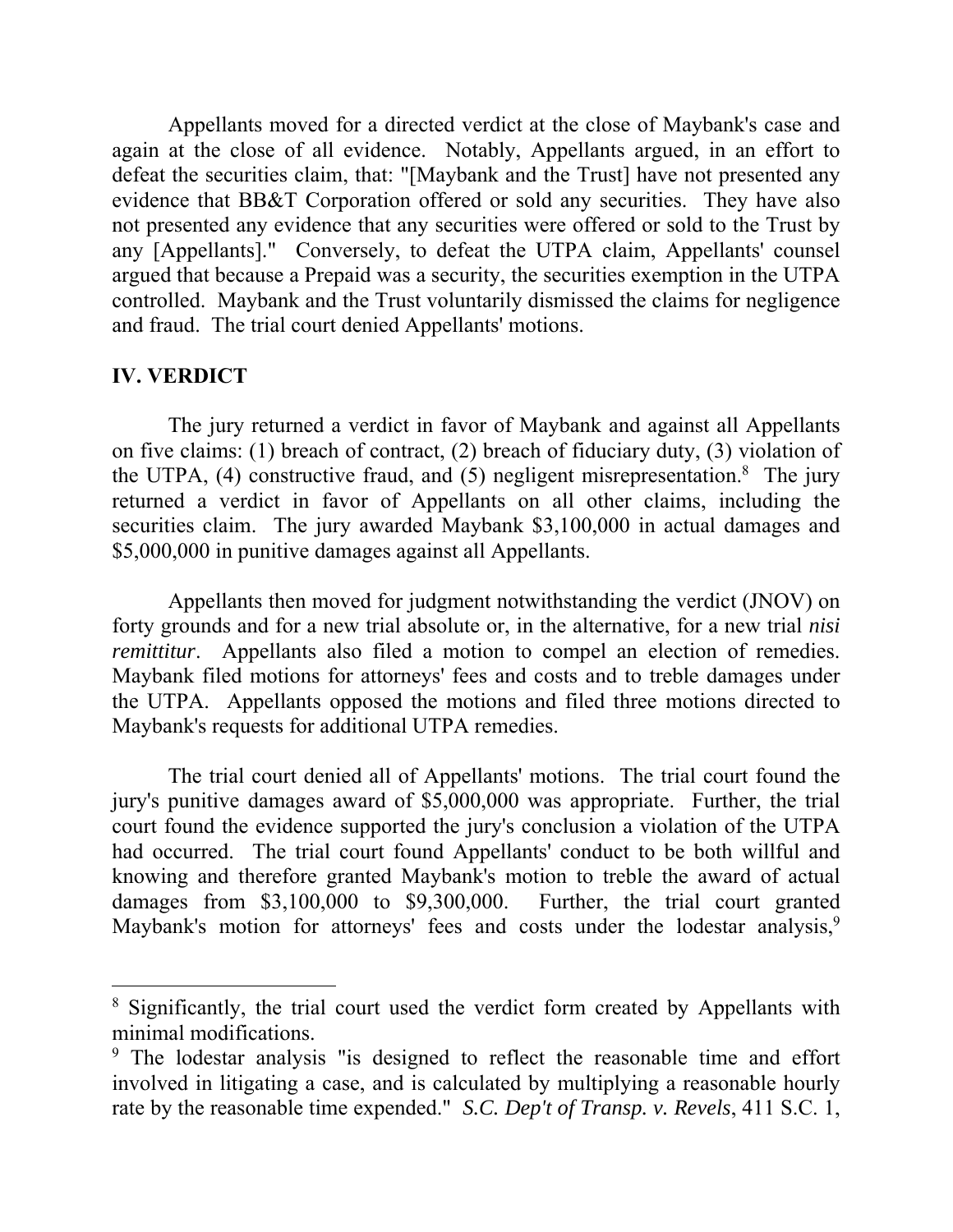controlled. Maybank and the Trust voluntarily dismissed the claims for negligence Appellants moved for a directed verdict at the close of Maybank's case and again at the close of all evidence. Notably, Appellants argued, in an effort to defeat the securities claim, that: "[Maybank and the Trust] have not presented any evidence that BB&T Corporation offered or sold any securities. They have also not presented any evidence that any securities were offered or sold to the Trust by any [Appellants]." Conversely, to defeat the UTPA claim, Appellants' counsel argued that because a Prepaid was a security, the securities exemption in the UTPA and fraud. The trial court denied Appellants' motions.

## **IV. VERDICT**

 $\overline{a}$ 

the UTPA,  $(4)$  constructive fraud, and  $(5)$  negligent misrepresentation.<sup>8</sup> The jury The jury returned a verdict in favor of Maybank and against all Appellants on five claims: (1) breach of contract, (2) breach of fiduciary duty, (3) violation of returned a verdict in favor of Appellants on all other claims, including the securities claim. The jury awarded Maybank \$3,100,000 in actual damages and \$5,000,000 in punitive damages against all Appellants.

Appellants then moved for judgment notwithstanding the verdict (JNOV) on forty grounds and for a new trial absolute or, in the alternative, for a new trial *nisi remittitur*. Appellants also filed a motion to compel an election of remedies. Maybank filed motions for attorneys' fees and costs and to treble damages under the UTPA. Appellants opposed the motions and filed three motions directed to Maybank's requests for additional UTPA remedies.

 The trial court denied all of Appellants' motions. The trial court found the had occurred. The trial court found Appellants' conduct to be both willful and jury's punitive damages award of \$5,000,000 was appropriate. Further, the trial court found the evidence supported the jury's conclusion a violation of the UTPA knowing and therefore granted Maybank's motion to treble the award of actual damages from \$3,100,000 to \$9,300,000. Further, the trial court granted Maybank's motion for attorneys' fees and costs under the lodestar analysis,<sup>9</sup>

<sup>&</sup>lt;sup>8</sup> Significantly, the trial court used the verdict form created by Appellants with minimal modifications.

 involved in litigating a case, and is calculated by multiplying a reasonable hourly <sup>9</sup> The lodestar analysis "is designed to reflect the reasonable time and effort rate by the reasonable time expended." *S.C. Dep't of Transp. v. Revels*, 411 S.C. 1,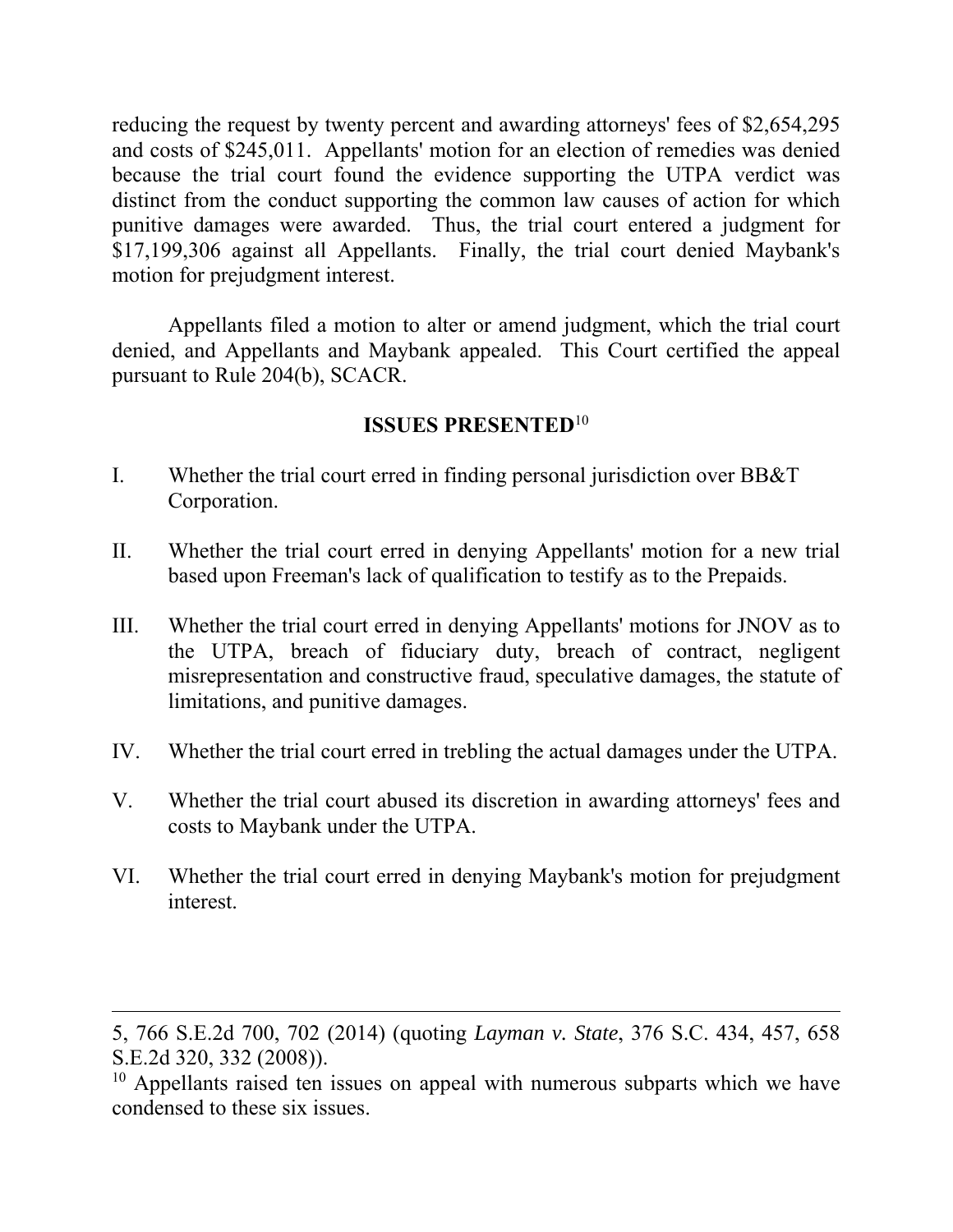reducing the request by twenty percent and awarding attorneys' fees of \$2,654,295 and costs of \$245,011. Appellants' motion for an election of remedies was denied because the trial court found the evidence supporting the UTPA verdict was distinct from the conduct supporting the common law causes of action for which punitive damages were awarded. Thus, the trial court entered a judgment for \$17,199,306 against all Appellants. Finally, the trial court denied Maybank's motion for prejudgment interest.

Appellants filed a motion to alter or amend judgment, which the trial court denied, and Appellants and Maybank appealed. This Court certified the appeal pursuant to Rule 204(b), SCACR.

# **ISSUES PRESENTED**<sup>10</sup>

- I. Whether the trial court erred in finding personal jurisdiction over BB&T Corporation.
- II. Whether the trial court erred in denying Appellants' motion for a new trial based upon Freeman's lack of qualification to testify as to the Prepaids.
- III. Whether the trial court erred in denying Appellants' motions for JNOV as to the UTPA, breach of fiduciary duty, breach of contract, negligent misrepresentation and constructive fraud, speculative damages, the statute of limitations, and punitive damages.
- IV. Whether the trial court erred in trebling the actual damages under the UTPA.
- V. Whether the trial court abused its discretion in awarding attorneys' fees and costs to Maybank under the UTPA.
- VI. Whether the trial court erred in denying Maybank's motion for prejudgment interest.

<sup>5, 766</sup> S.E.2d 700, 702 (2014) (quoting *Layman v. State*, 376 S.C. 434, 457, 658 S.E.2d 320, 332 (2008)).

 $10$  Appellants raised ten issues on appeal with numerous subparts which we have condensed to these six issues.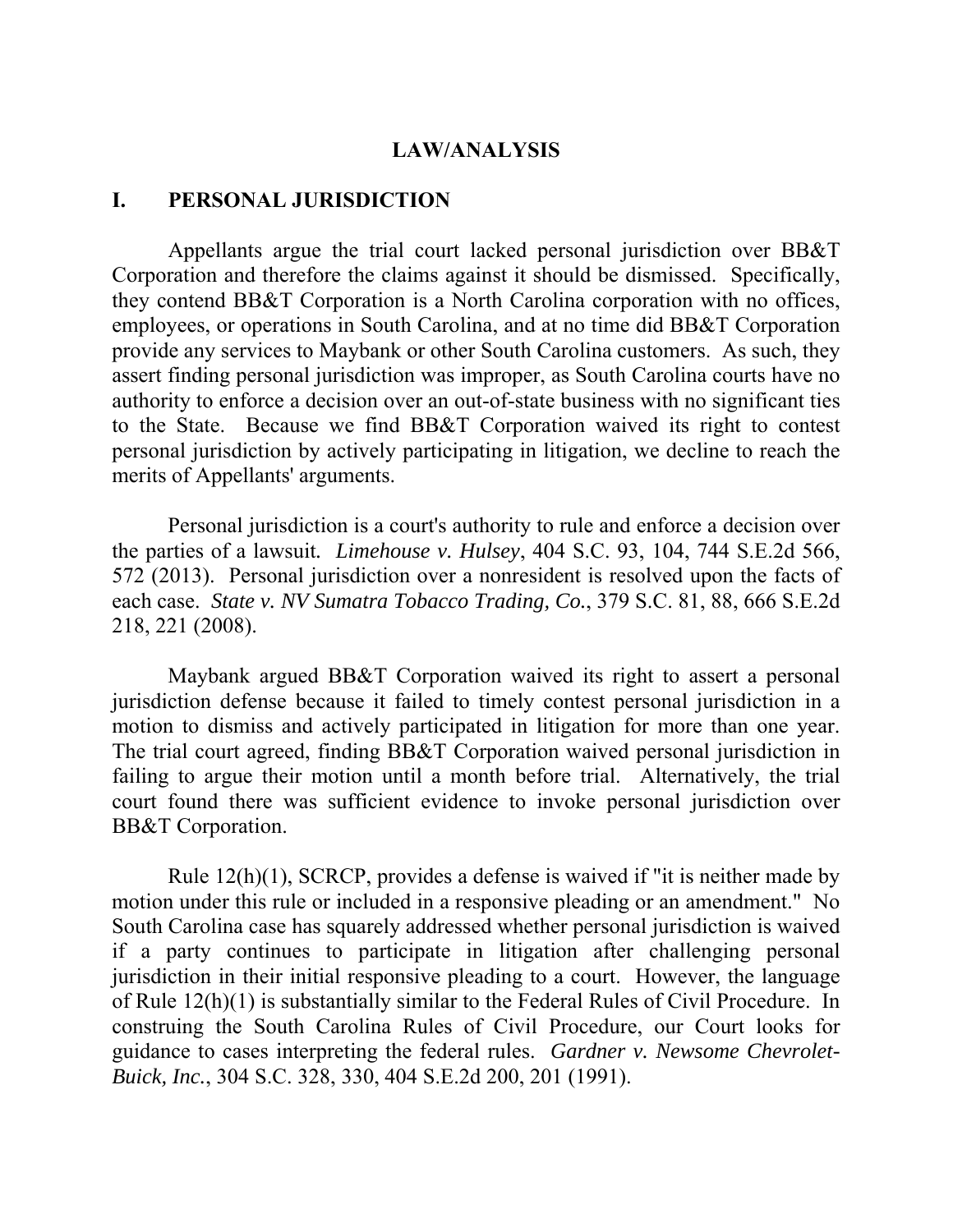### **LAW/ANALYSIS**

#### **I. PERSONAL JURISDICTION**

 to the State. Because we find BB&T Corporation waived its right to contest Appellants argue the trial court lacked personal jurisdiction over BB&T Corporation and therefore the claims against it should be dismissed. Specifically, they contend BB&T Corporation is a North Carolina corporation with no offices, employees, or operations in South Carolina, and at no time did BB&T Corporation provide any services to Maybank or other South Carolina customers. As such, they assert finding personal jurisdiction was improper, as South Carolina courts have no authority to enforce a decision over an out-of-state business with no significant ties personal jurisdiction by actively participating in litigation, we decline to reach the merits of Appellants' arguments.

Personal jurisdiction is a court's authority to rule and enforce a decision over the parties of a lawsuit*. Limehouse v. Hulsey*, 404 S.C. 93, 104, 744 S.E.2d 566, 572 (2013). Personal jurisdiction over a nonresident is resolved upon the facts of each case. *State v. NV Sumatra Tobacco Trading, Co.*, 379 S.C. 81, 88, 666 S.E.2d 218, 221 (2008).

 failing to argue their motion until a month before trial. Alternatively, the trial Maybank argued BB&T Corporation waived its right to assert a personal jurisdiction defense because it failed to timely contest personal jurisdiction in a motion to dismiss and actively participated in litigation for more than one year. The trial court agreed, finding BB&T Corporation waived personal jurisdiction in court found there was sufficient evidence to invoke personal jurisdiction over BB&T Corporation.

 motion under this rule or included in a responsive pleading or an amendment." No jurisdiction in their initial responsive pleading to a court. However, the language of Rule 12(h)(1) is substantially similar to the Federal Rules of Civil Procedure. In Rule 12(h)(1), SCRCP, provides a defense is waived if "it is neither made by South Carolina case has squarely addressed whether personal jurisdiction is waived if a party continues to participate in litigation after challenging personal construing the South Carolina Rules of Civil Procedure, our Court looks for guidance to cases interpreting the federal rules. *Gardner v. Newsome Chevrolet-Buick, Inc.*, 304 S.C. 328, 330, 404 S.E.2d 200, 201 (1991).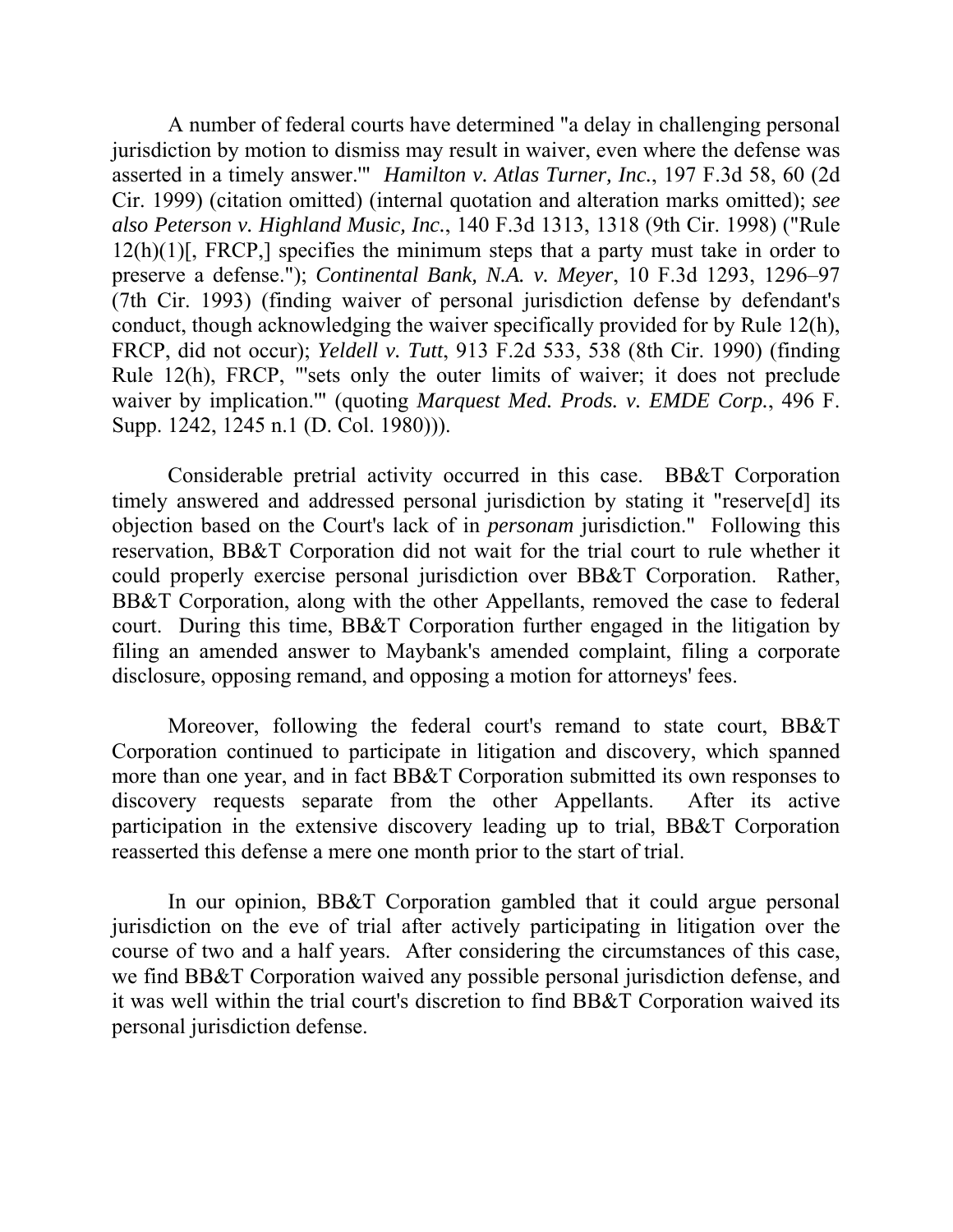A number of federal courts have determined "a delay in challenging personal jurisdiction by motion to dismiss may result in waiver, even where the defense was asserted in a timely answer.'" *Hamilton v. Atlas Turner, Inc.*, 197 F.3d 58, 60 (2d Cir. 1999) (citation omitted) (internal quotation and alteration marks omitted); *see also Peterson v. Highland Music, Inc.*, 140 F.3d 1313, 1318 (9th Cir. 1998) ("Rule  $12(h)(1)$ , FRCP, specifies the minimum steps that a party must take in order to preserve a defense."); *Continental Bank, N.A. v. Meyer*, 10 F.3d 1293, 1296–97 (7th Cir. 1993) (finding waiver of personal jurisdiction defense by defendant's conduct, though acknowledging the waiver specifically provided for by Rule 12(h), FRCP, did not occur); *Yeldell v. Tutt*, 913 F.2d 533, 538 (8th Cir. 1990) (finding Rule 12(h), FRCP, "'sets only the outer limits of waiver; it does not preclude waiver by implication.'" (quoting *Marquest Med. Prods. v. EMDE Corp.*, 496 F. Supp. 1242, 1245 n.1 (D. Col. 1980))).

 filing an amended answer to Maybank's amended complaint, filing a corporate Considerable pretrial activity occurred in this case. BB&T Corporation timely answered and addressed personal jurisdiction by stating it "reserve[d] its objection based on the Court's lack of in *personam* jurisdiction." Following this reservation, BB&T Corporation did not wait for the trial court to rule whether it could properly exercise personal jurisdiction over BB&T Corporation. Rather, BB&T Corporation, along with the other Appellants, removed the case to federal court. During this time, BB&T Corporation further engaged in the litigation by disclosure, opposing remand, and opposing a motion for attorneys' fees.

Moreover, following the federal court's remand to state court, BB&T Corporation continued to participate in litigation and discovery, which spanned more than one year, and in fact BB&T Corporation submitted its own responses to discovery requests separate from the other Appellants. After its active participation in the extensive discovery leading up to trial, BB&T Corporation reasserted this defense a mere one month prior to the start of trial.

In our opinion, BB&T Corporation gambled that it could argue personal jurisdiction on the eve of trial after actively participating in litigation over the course of two and a half years. After considering the circumstances of this case, we find BB&T Corporation waived any possible personal jurisdiction defense, and it was well within the trial court's discretion to find BB&T Corporation waived its personal jurisdiction defense.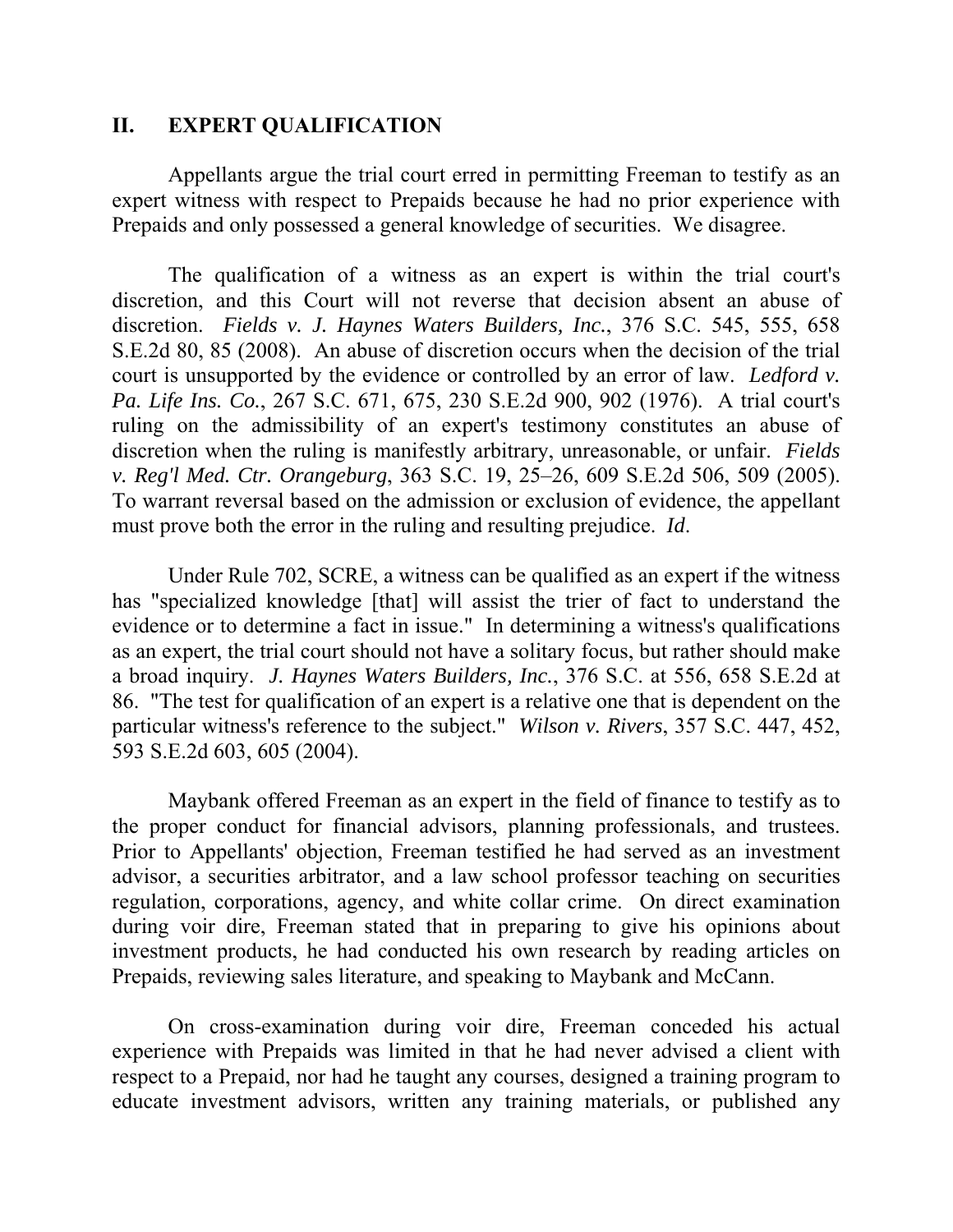#### **II. EXPERT QUALIFICATION**

Appellants argue the trial court erred in permitting Freeman to testify as an expert witness with respect to Prepaids because he had no prior experience with Prepaids and only possessed a general knowledge of securities. We disagree.

 discretion. *Fields v. J. Haynes Waters Builders, Inc.*, 376 S.C. 545, 555, 658 *Pa. Life Ins. Co.*, 267 S.C. 671, 675, 230 S.E.2d 900, 902 (1976). A trial court's v. Reg'l Med. Ctr. Orangeburg, 363 S.C. 19, 25-26, 609 S.E.2d 506, 509 (2005). The qualification of a witness as an expert is within the trial court's discretion, and this Court will not reverse that decision absent an abuse of S.E.2d 80, 85 (2008). An abuse of discretion occurs when the decision of the trial court is unsupported by the evidence or controlled by an error of law. *Ledford v.*  ruling on the admissibility of an expert's testimony constitutes an abuse of discretion when the ruling is manifestly arbitrary, unreasonable, or unfair. *Fields*  To warrant reversal based on the admission or exclusion of evidence, the appellant must prove both the error in the ruling and resulting prejudice. *Id*.

Under Rule 702, SCRE, a witness can be qualified as an expert if the witness has "specialized knowledge [that] will assist the trier of fact to understand the evidence or to determine a fact in issue." In determining a witness's qualifications as an expert, the trial court should not have a solitary focus, but rather should make a broad inquiry. *J. Haynes Waters Builders, Inc.*, 376 S.C. at 556, 658 S.E.2d at 86. "The test for qualification of an expert is a relative one that is dependent on the particular witness's reference to the subject." *Wilson v. Rivers*, 357 S.C. 447, 452, 593 S.E.2d 603, 605 (2004).

Maybank offered Freeman as an expert in the field of finance to testify as to the proper conduct for financial advisors, planning professionals, and trustees. Prior to Appellants' objection, Freeman testified he had served as an investment advisor, a securities arbitrator, and a law school professor teaching on securities regulation, corporations, agency, and white collar crime. On direct examination during voir dire, Freeman stated that in preparing to give his opinions about investment products, he had conducted his own research by reading articles on Prepaids, reviewing sales literature, and speaking to Maybank and McCann.

On cross-examination during voir dire, Freeman conceded his actual experience with Prepaids was limited in that he had never advised a client with respect to a Prepaid, nor had he taught any courses, designed a training program to educate investment advisors, written any training materials, or published any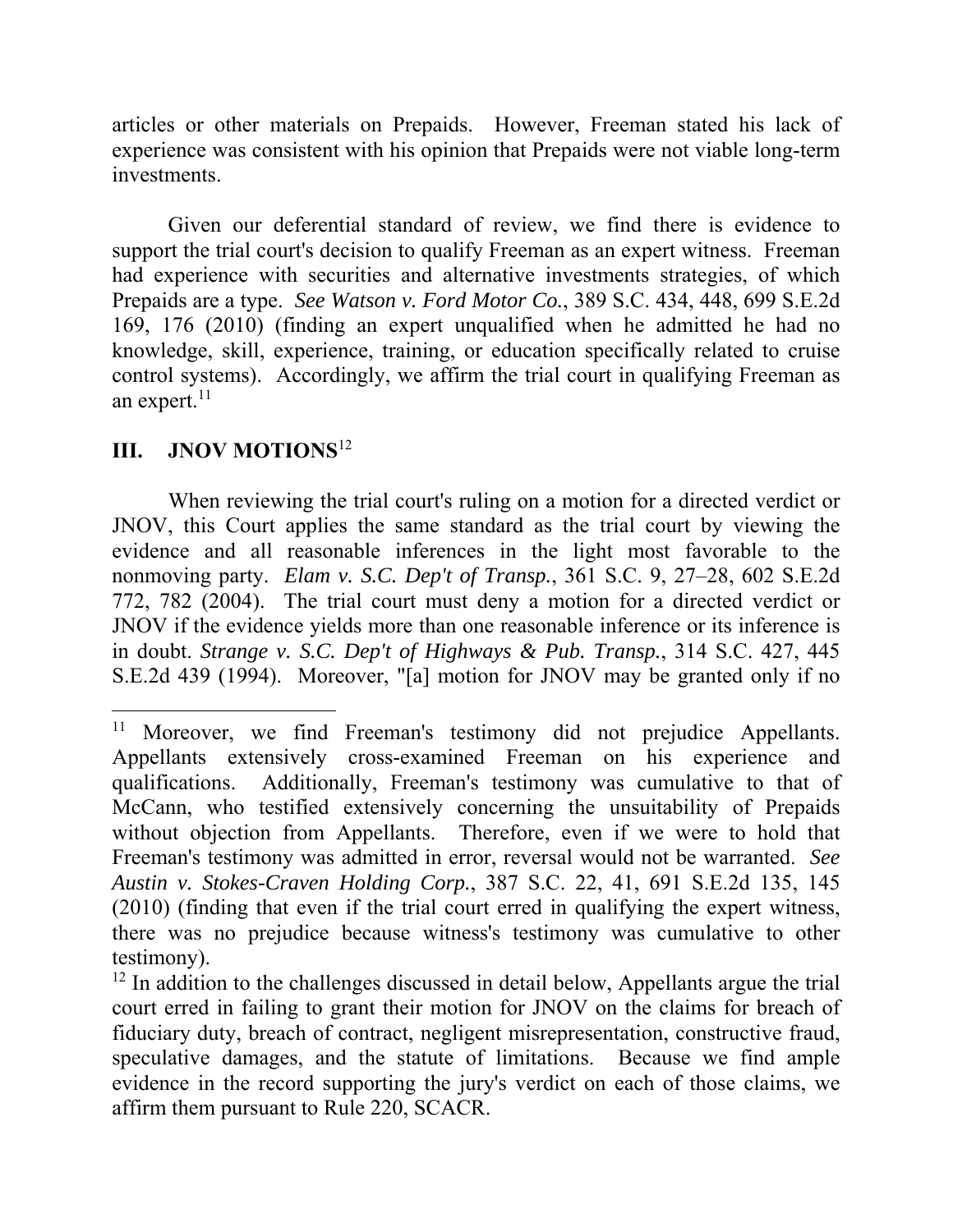articles or other materials on Prepaids. However, Freeman stated his lack of experience was consistent with his opinion that Prepaids were not viable long-term investments.

 support the trial court's decision to qualify Freeman as an expert witness. Freeman Given our deferential standard of review, we find there is evidence to had experience with securities and alternative investments strategies, of which Prepaids are a type. *See Watson v. Ford Motor Co.*, 389 S.C. 434, 448, 699 S.E.2d 169, 176 (2010) (finding an expert unqualified when he admitted he had no knowledge, skill, experience, training, or education specifically related to cruise control systems). Accordingly, we affirm the trial court in qualifying Freeman as an expert. $^{11}$ 

# **III. JNOV MOTIONS**<sup>12</sup>

 $\overline{a}$ 

 JNOV, this Court applies the same standard as the trial court by viewing the When reviewing the trial court's ruling on a motion for a directed verdict or evidence and all reasonable inferences in the light most favorable to the nonmoving party. *Elam v. S.C. Dep't of Transp.*, 361 S.C. 9, 27–28, 602 S.E.2d 772, 782 (2004). The trial court must deny a motion for a directed verdict or JNOV if the evidence yields more than one reasonable inference or its inference is in doubt. *Strange v. S.C. Dep't of Highways & Pub. Transp.*, 314 S.C. 427, 445 S.E.2d 439 (1994). Moreover, "[a] motion for JNOV may be granted only if no

<sup>&</sup>lt;sup>11</sup> Moreover, we find Freeman's testimony did not prejudice Appellants. Appellants extensively cross-examined Freeman on his experience and qualifications. Additionally, Freeman's testimony was cumulative to that of McCann, who testified extensively concerning the unsuitability of Prepaids without objection from Appellants. Therefore, even if we were to hold that Freeman's testimony was admitted in error, reversal would not be warranted. *See Austin v. Stokes-Craven Holding Corp.*, 387 S.C. 22, 41, 691 S.E.2d 135, 145 (2010) (finding that even if the trial court erred in qualifying the expert witness, there was no prejudice because witness's testimony was cumulative to other testimony).

<sup>&</sup>lt;sup>12</sup> In addition to the challenges discussed in detail below, Appellants argue the trial court erred in failing to grant their motion for JNOV on the claims for breach of fiduciary duty, breach of contract, negligent misrepresentation, constructive fraud, speculative damages, and the statute of limitations. Because we find ample evidence in the record supporting the jury's verdict on each of those claims, we affirm them pursuant to Rule 220, SCACR.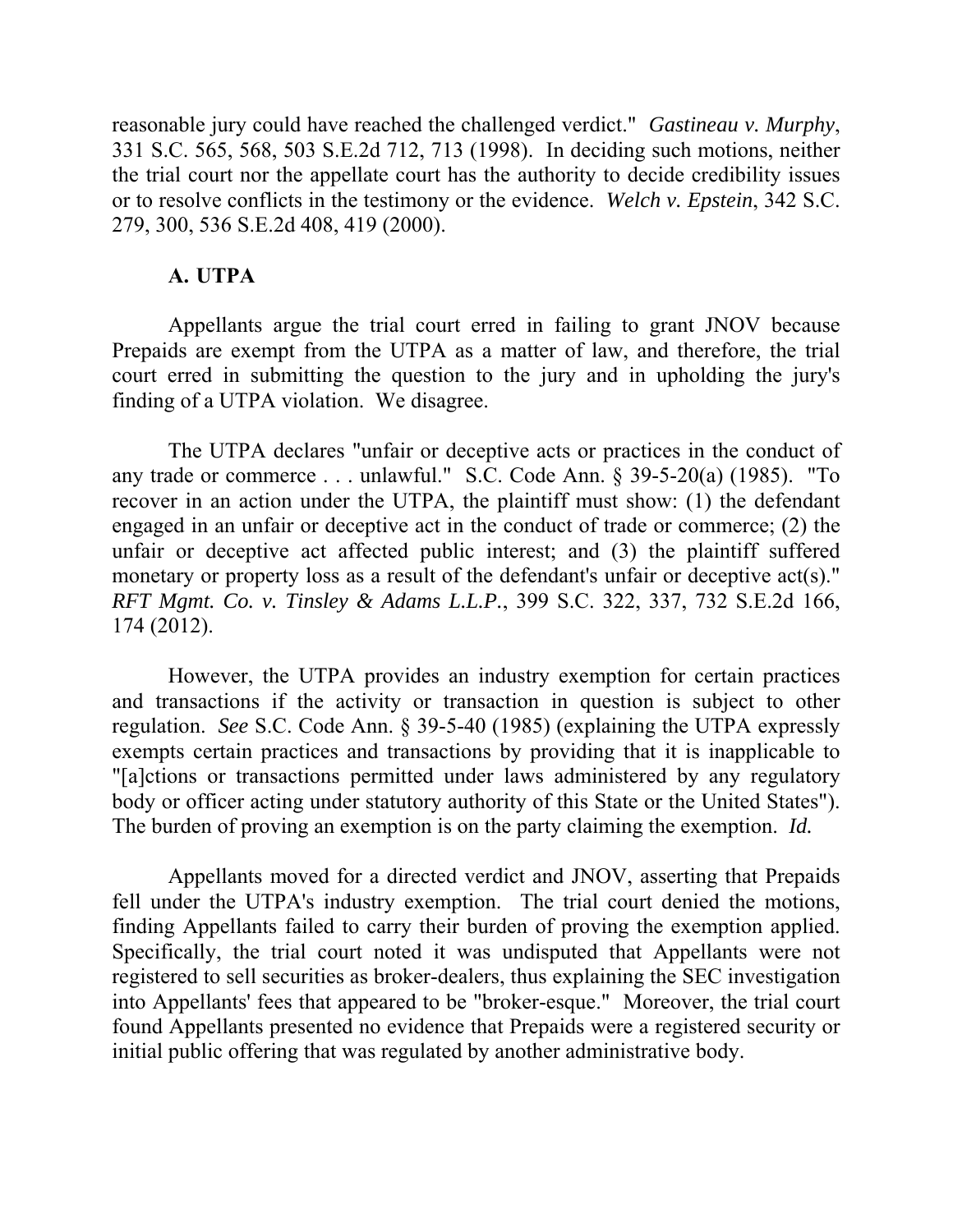reasonable jury could have reached the challenged verdict." *Gastineau v. Murphy*, 331 S.C. 565, 568, 503 S.E.2d 712, 713 (1998). In deciding such motions, neither the trial court nor the appellate court has the authority to decide credibility issues or to resolve conflicts in the testimony or the evidence. *Welch v. Epstein*, 342 S.C. 279, 300, 536 S.E.2d 408, 419 (2000).

## **A. UTPA**

 Appellants argue the trial court erred in failing to grant JNOV because Prepaids are exempt from the UTPA as a matter of law, and therefore, the trial court erred in submitting the question to the jury and in upholding the jury's finding of a UTPA violation. We disagree.

 The UTPA declares "unfair or deceptive acts or practices in the conduct of any trade or commerce . . . unlawful." S.C. Code Ann. § 39-5-20(a) (1985). "To recover in an action under the UTPA, the plaintiff must show: (1) the defendant engaged in an unfair or deceptive act in the conduct of trade or commerce; (2) the unfair or deceptive act affected public interest; and (3) the plaintiff suffered monetary or property loss as a result of the defendant's unfair or deceptive act(s)." *RFT Mgmt. Co. v. Tinsley & Adams L.L.P.*, 399 S.C. 322, 337, 732 S.E.2d 166, 174 (2012).

 regulation. *See* S.C. Code Ann. § 39-5-40 (1985) (explaining the UTPA expressly However, the UTPA provides an industry exemption for certain practices and transactions if the activity or transaction in question is subject to other exempts certain practices and transactions by providing that it is inapplicable to "[a]ctions or transactions permitted under laws administered by any regulatory body or officer acting under statutory authority of this State or the United States"). The burden of proving an exemption is on the party claiming the exemption. *Id.* 

Appellants moved for a directed verdict and JNOV, asserting that Prepaids fell under the UTPA's industry exemption. The trial court denied the motions, finding Appellants failed to carry their burden of proving the exemption applied. Specifically, the trial court noted it was undisputed that Appellants were not registered to sell securities as broker-dealers, thus explaining the SEC investigation into Appellants' fees that appeared to be "broker-esque." Moreover, the trial court found Appellants presented no evidence that Prepaids were a registered security or initial public offering that was regulated by another administrative body.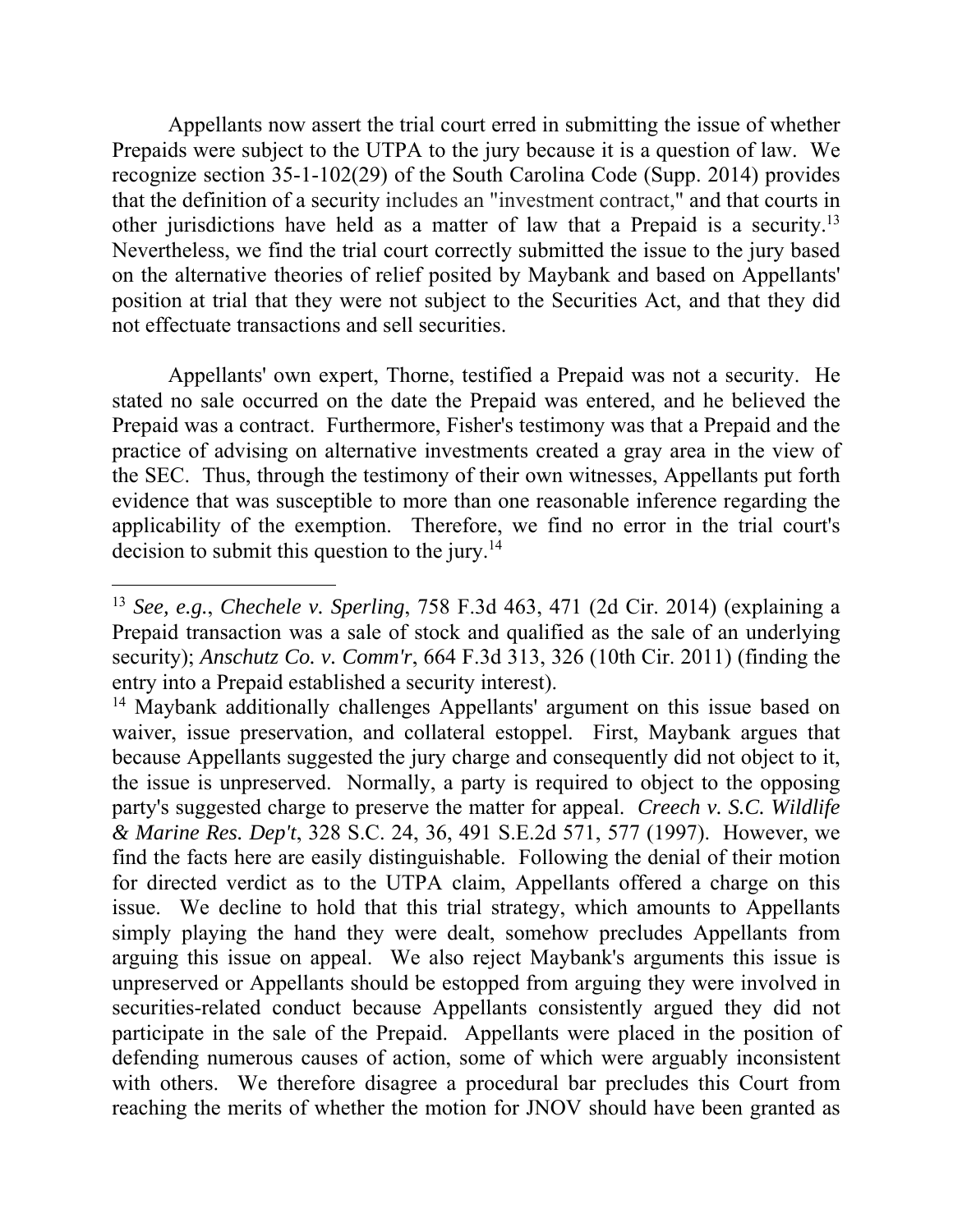other jurisdictions have held as a matter of law that a Prepaid is a security.<sup>13</sup> Appellants now assert the trial court erred in submitting the issue of whether Prepaids were subject to the UTPA to the jury because it is a question of law. We recognize section 35-1-102(29) of the South Carolina Code (Supp. 2014) provides that the definition of a security includes an "investment contract," and that courts in Nevertheless, we find the trial court correctly submitted the issue to the jury based on the alternative theories of relief posited by Maybank and based on Appellants' position at trial that they were not subject to the Securities Act, and that they did not effectuate transactions and sell securities.

 Prepaid was a contract. Furthermore, Fisher's testimony was that a Prepaid and the Appellants' own expert, Thorne, testified a Prepaid was not a security. He stated no sale occurred on the date the Prepaid was entered, and he believed the practice of advising on alternative investments created a gray area in the view of the SEC. Thus, through the testimony of their own witnesses, Appellants put forth evidence that was susceptible to more than one reasonable inference regarding the applicability of the exemption. Therefore, we find no error in the trial court's decision to submit this question to the jury.14

<sup>13</sup>*See, e.g.*, *Chechele v. Sperling*, 758 F.3d 463, 471 (2d Cir. 2014) (explaining a Prepaid transaction was a sale of stock and qualified as the sale of an underlying security); *Anschutz Co. v. Comm'r*, 664 F.3d 313, 326 (10th Cir. 2011) (finding the entry into a Prepaid established a security interest).

<sup>&</sup>lt;sup>14</sup> Maybank additionally challenges Appellants' argument on this issue based on waiver, issue preservation, and collateral estoppel. First, Maybank argues that because Appellants suggested the jury charge and consequently did not object to it, the issue is unpreserved. Normally, a party is required to object to the opposing party's suggested charge to preserve the matter for appeal. *Creech v. S.C. Wildlife & Marine Res. Dep't*, 328 S.C. 24, 36, 491 S.E.2d 571, 577 (1997). However, we find the facts here are easily distinguishable. Following the denial of their motion for directed verdict as to the UTPA claim, Appellants offered a charge on this issue. We decline to hold that this trial strategy, which amounts to Appellants simply playing the hand they were dealt, somehow precludes Appellants from arguing this issue on appeal. We also reject Maybank's arguments this issue is unpreserved or Appellants should be estopped from arguing they were involved in securities-related conduct because Appellants consistently argued they did not participate in the sale of the Prepaid. Appellants were placed in the position of defending numerous causes of action, some of which were arguably inconsistent with others. We therefore disagree a procedural bar precludes this Court from reaching the merits of whether the motion for JNOV should have been granted as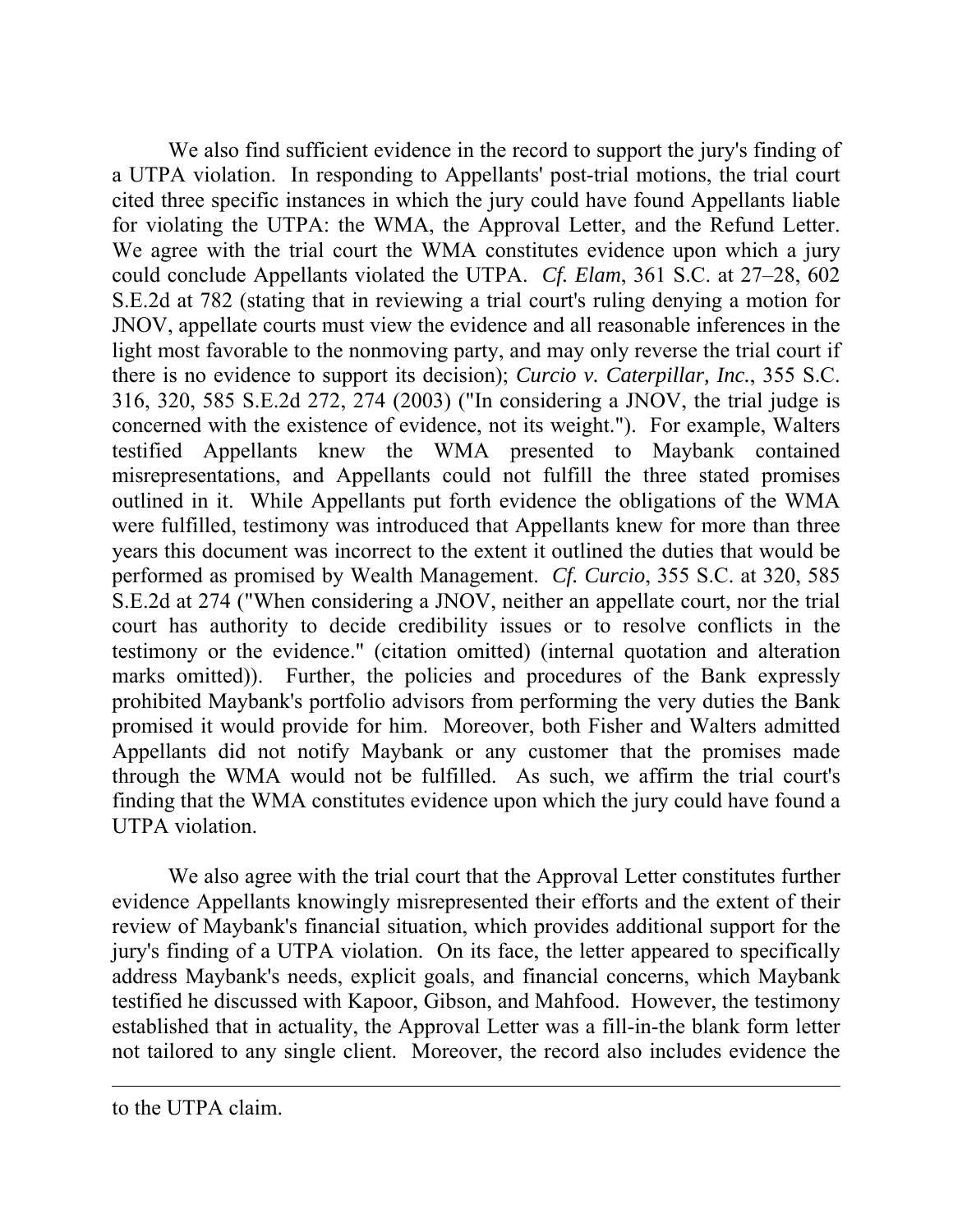a UTPA violation. In responding to Appellants' post-trial motions, the trial court S.E.2d at 782 (stating that in reviewing a trial court's ruling denying a motion for light most favorable to the nonmoving party, and may only reverse the trial court if years this document was incorrect to the extent it outlined the duties that would be We also find sufficient evidence in the record to support the jury's finding of cited three specific instances in which the jury could have found Appellants liable for violating the UTPA: the WMA, the Approval Letter, and the Refund Letter. We agree with the trial court the WMA constitutes evidence upon which a jury could conclude Appellants violated the UTPA. *Cf. Elam*, 361 S.C. at 27–28, 602 JNOV, appellate courts must view the evidence and all reasonable inferences in the there is no evidence to support its decision); *Curcio v. Caterpillar, Inc.*, 355 S.C. 316, 320, 585 S.E.2d 272, 274 (2003) ("In considering a JNOV, the trial judge is concerned with the existence of evidence, not its weight."). For example, Walters testified Appellants knew the WMA presented to Maybank contained misrepresentations, and Appellants could not fulfill the three stated promises outlined in it. While Appellants put forth evidence the obligations of the WMA were fulfilled, testimony was introduced that Appellants knew for more than three performed as promised by Wealth Management. *Cf. Curcio*, 355 S.C. at 320, 585 S.E.2d at 274 ("When considering a JNOV, neither an appellate court, nor the trial court has authority to decide credibility issues or to resolve conflicts in the testimony or the evidence." (citation omitted) (internal quotation and alteration marks omitted)). Further, the policies and procedures of the Bank expressly prohibited Maybank's portfolio advisors from performing the very duties the Bank promised it would provide for him. Moreover, both Fisher and Walters admitted Appellants did not notify Maybank or any customer that the promises made through the WMA would not be fulfilled. As such, we affirm the trial court's finding that the WMA constitutes evidence upon which the jury could have found a UTPA violation.

We also agree with the trial court that the Approval Letter constitutes further evidence Appellants knowingly misrepresented their efforts and the extent of their review of Maybank's financial situation, which provides additional support for the jury's finding of a UTPA violation. On its face, the letter appeared to specifically address Maybank's needs, explicit goals, and financial concerns, which Maybank testified he discussed with Kapoor, Gibson, and Mahfood. However, the testimony established that in actuality, the Approval Letter was a fill-in-the blank form letter not tailored to any single client. Moreover, the record also includes evidence the

to the UTPA claim.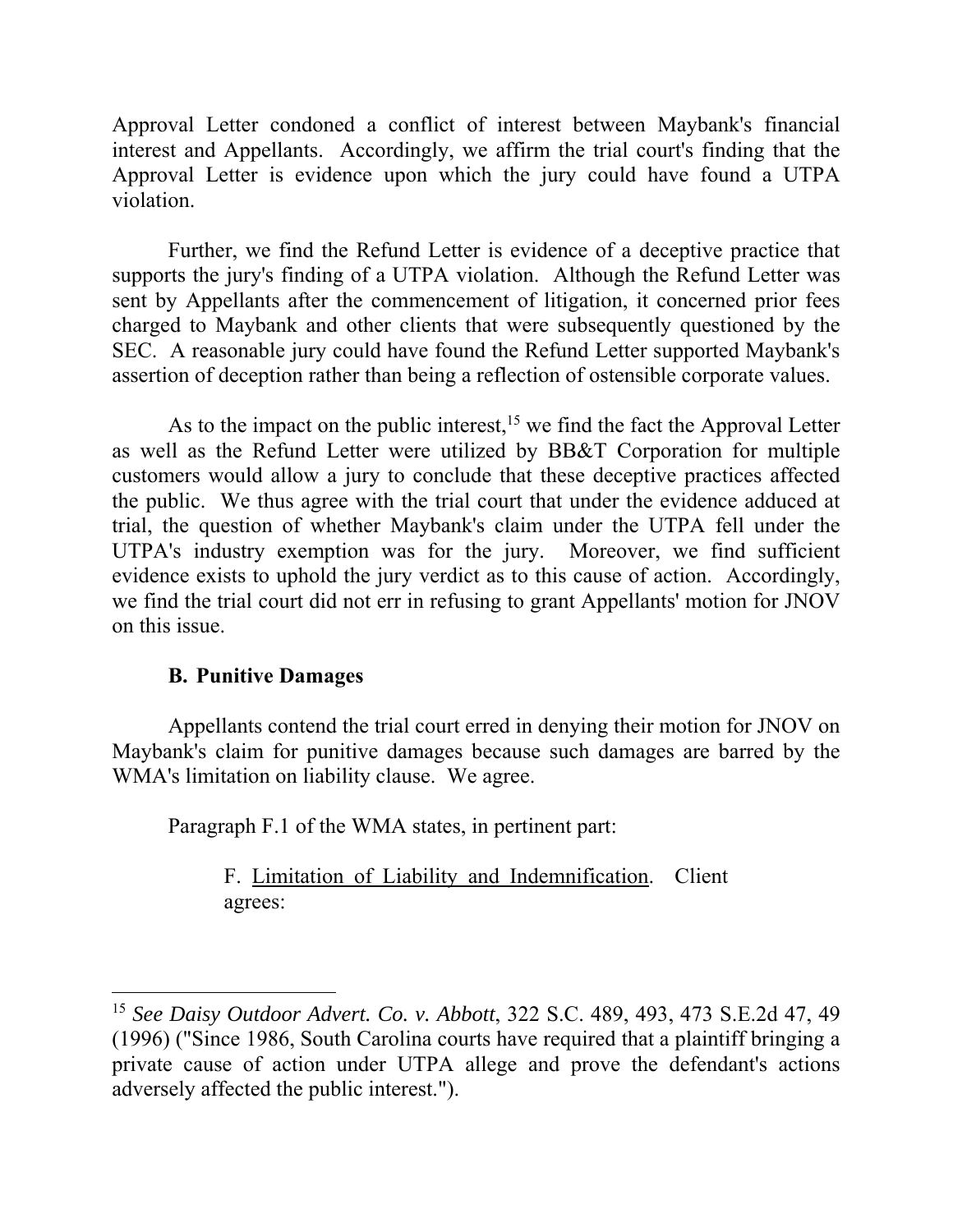Approval Letter condoned a conflict of interest between Maybank's financial interest and Appellants. Accordingly, we affirm the trial court's finding that the Approval Letter is evidence upon which the jury could have found a UTPA violation.

Further, we find the Refund Letter is evidence of a deceptive practice that supports the jury's finding of a UTPA violation. Although the Refund Letter was sent by Appellants after the commencement of litigation, it concerned prior fees charged to Maybank and other clients that were subsequently questioned by the SEC. A reasonable jury could have found the Refund Letter supported Maybank's assertion of deception rather than being a reflection of ostensible corporate values.

 customers would allow a jury to conclude that these deceptive practices affected As to the impact on the public interest,  $15$  we find the fact the Approval Letter as well as the Refund Letter were utilized by BB&T Corporation for multiple the public. We thus agree with the trial court that under the evidence adduced at trial, the question of whether Maybank's claim under the UTPA fell under the UTPA's industry exemption was for the jury. Moreover, we find sufficient evidence exists to uphold the jury verdict as to this cause of action. Accordingly, we find the trial court did not err in refusing to grant Appellants' motion for JNOV on this issue.

### **B. Punitive Damages**

 $\overline{a}$ 

 Maybank's claim for punitive damages because such damages are barred by the Appellants contend the trial court erred in denying their motion for JNOV on WMA's limitation on liability clause. We agree.

Paragraph F.1 of the WMA states, in pertinent part:

F. Limitation of Liability and Indemnification. Client agrees:

<sup>15</sup>*See Daisy Outdoor Advert. Co. v. Abbott*, 322 S.C. 489, 493, 473 S.E.2d 47, 49 (1996) ("Since 1986, South Carolina courts have required that a plaintiff bringing a private cause of action under UTPA allege and prove the defendant's actions adversely affected the public interest.").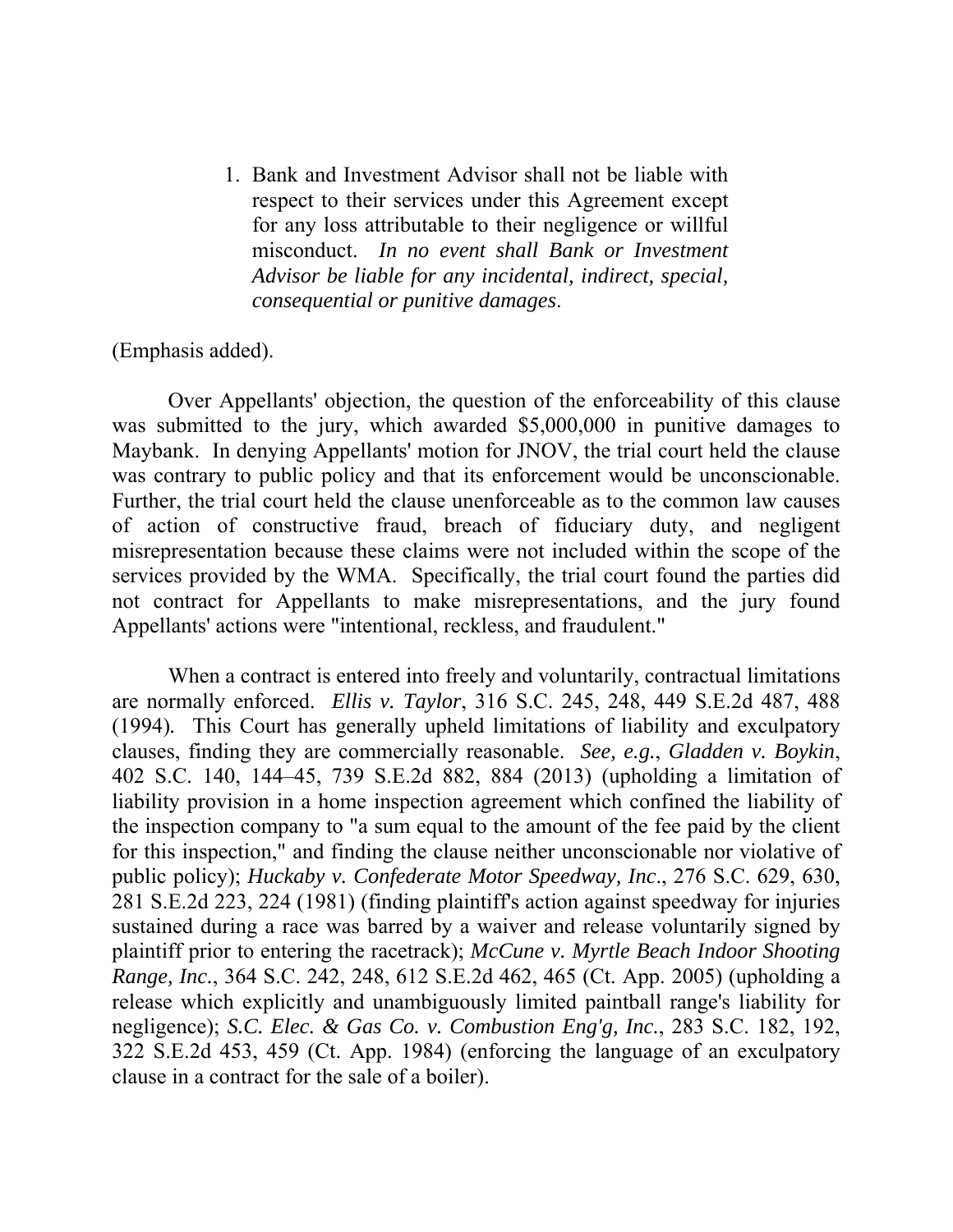1. Bank and Investment Advisor shall not be liable with respect to their services under this Agreement except for any loss attributable to their negligence or willful misconduct. *In no event shall Bank or Investment Advisor be liable for any incidental, indirect, special, consequential or punitive damages*.

## (Emphasis added).

Over Appellants' objection, the question of the enforceability of this clause was submitted to the jury, which awarded \$5,000,000 in punitive damages to Maybank. In denying Appellants' motion for JNOV, the trial court held the clause was contrary to public policy and that its enforcement would be unconscionable. Further, the trial court held the clause unenforceable as to the common law causes of action of constructive fraud, breach of fiduciary duty, and negligent misrepresentation because these claims were not included within the scope of the services provided by the WMA. Specifically, the trial court found the parties did not contract for Appellants to make misrepresentations, and the jury found Appellants' actions were "intentional, reckless, and fraudulent."

When a contract is entered into freely and voluntarily, contractual limitations are normally enforced. *Ellis v. Taylor*, 316 S.C. 245, 248, 449 S.E.2d 487, 488 (1994)*.* This Court has generally upheld limitations of liability and exculpatory clauses, finding they are commercially reasonable. *See, e.g.*, *Gladden v. Boykin*, 402 S.C. 140, 144–45, 739 S.E.2d 882, 884 (2013) (upholding a limitation of liability provision in a home inspection agreement which confined the liability of the inspection company to "a sum equal to the amount of the fee paid by the client for this inspection," and finding the clause neither unconscionable nor violative of public policy); *Huckaby v. Confederate Motor Speedway, Inc*., 276 S.C. 629, 630, 281 S.E.2d 223, 224 (1981) (finding plaintiff's action against speedway for injuries sustained during a race was barred by a waiver and release voluntarily signed by plaintiff prior to entering the racetrack); *McCune v. Myrtle Beach Indoor Shooting Range, Inc.*, 364 S.C. 242, 248, 612 S.E.2d 462, 465 (Ct. App. 2005) (upholding a release which explicitly and unambiguously limited paintball range's liability for negligence); *S.C. Elec. & Gas Co. v. Combustion Eng'g, Inc.*, 283 S.C. 182, 192, 322 S.E.2d 453, 459 (Ct. App. 1984) (enforcing the language of an exculpatory clause in a contract for the sale of a boiler).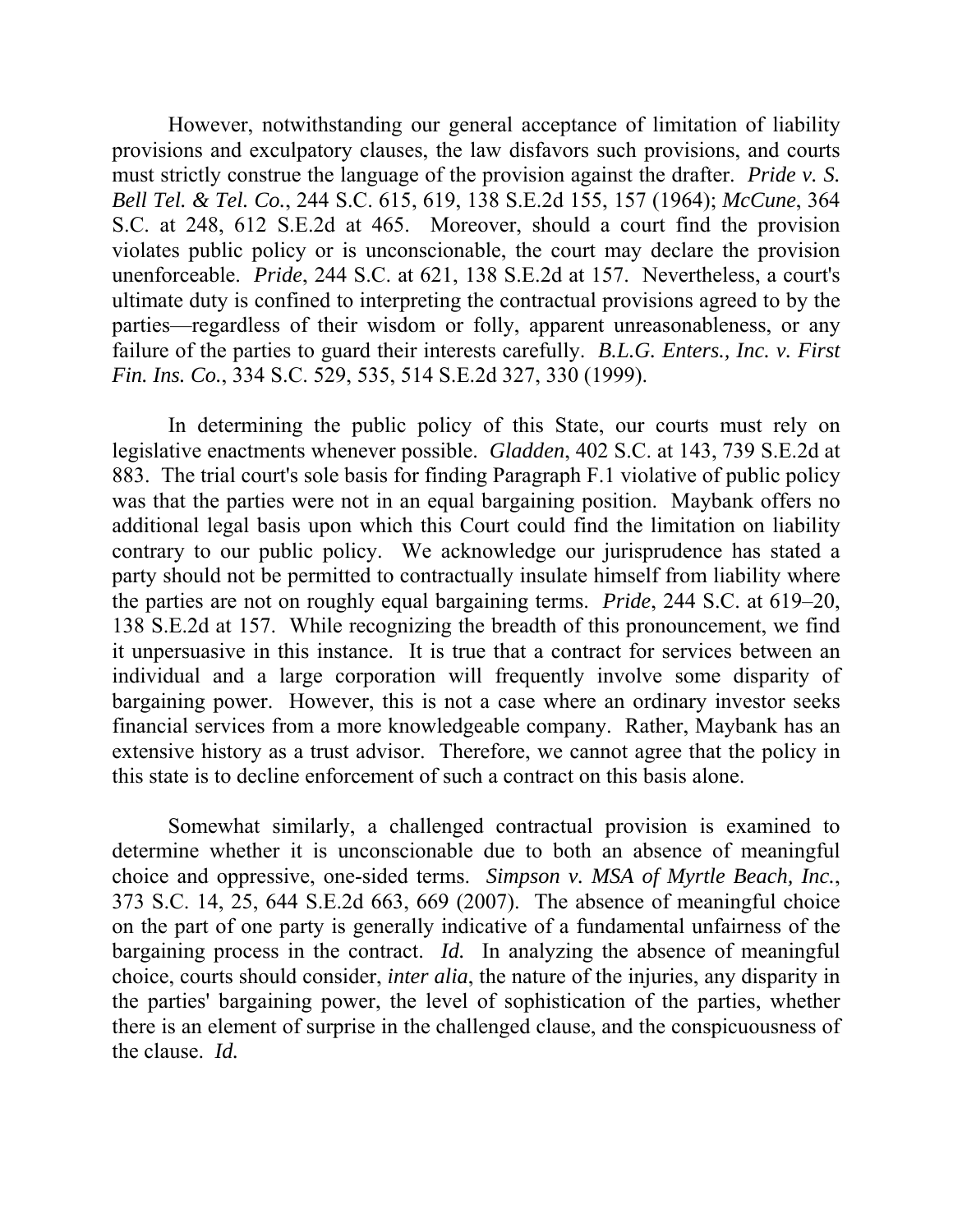However, notwithstanding our general acceptance of limitation of liability provisions and exculpatory clauses, the law disfavors such provisions, and courts must strictly construe the language of the provision against the drafter. *Pride v. S. Bell Tel. & Tel. Co.*, 244 S.C. 615, 619, 138 S.E.2d 155, 157 (1964); *McCune*, 364 S.C. at 248, 612 S.E.2d at 465. Moreover, should a court find the provision violates public policy or is unconscionable, the court may declare the provision unenforceable. *Pride*, 244 S.C. at 621, 138 S.E.2d at 157. Nevertheless, a court's ultimate duty is confined to interpreting the contractual provisions agreed to by the parties—regardless of their wisdom or folly, apparent unreasonableness, or any failure of the parties to guard their interests carefully. *B.L.G. Enters., Inc. v. First Fin. Ins. Co.*, 334 S.C. 529, 535, 514 S.E.2d 327, 330 (1999).

 contrary to our public policy. We acknowledge our jurisprudence has stated a party should not be permitted to contractually insulate himself from liability where In determining the public policy of this State, our courts must rely on legislative enactments whenever possible. *Gladden*, 402 S.C. at 143, 739 S.E.2d at 883. The trial court's sole basis for finding Paragraph F.1 violative of public policy was that the parties were not in an equal bargaining position. Maybank offers no additional legal basis upon which this Court could find the limitation on liability the parties are not on roughly equal bargaining terms. *Pride*, 244 S.C. at 619–20, 138 S.E.2d at 157. While recognizing the breadth of this pronouncement, we find it unpersuasive in this instance. It is true that a contract for services between an individual and a large corporation will frequently involve some disparity of bargaining power. However, this is not a case where an ordinary investor seeks financial services from a more knowledgeable company. Rather, Maybank has an extensive history as a trust advisor. Therefore, we cannot agree that the policy in this state is to decline enforcement of such a contract on this basis alone.

 bargaining process in the contract. *Id.* In analyzing the absence of meaningful there is an element of surprise in the challenged clause, and the conspicuousness of Somewhat similarly, a challenged contractual provision is examined to determine whether it is unconscionable due to both an absence of meaningful choice and oppressive, one-sided terms. *Simpson v. MSA of Myrtle Beach, Inc.*, 373 S.C. 14, 25, 644 S.E.2d 663, 669 (2007). The absence of meaningful choice on the part of one party is generally indicative of a fundamental unfairness of the choice, courts should consider, *inter alia*, the nature of the injuries, any disparity in the parties' bargaining power, the level of sophistication of the parties, whether the clause. *Id.*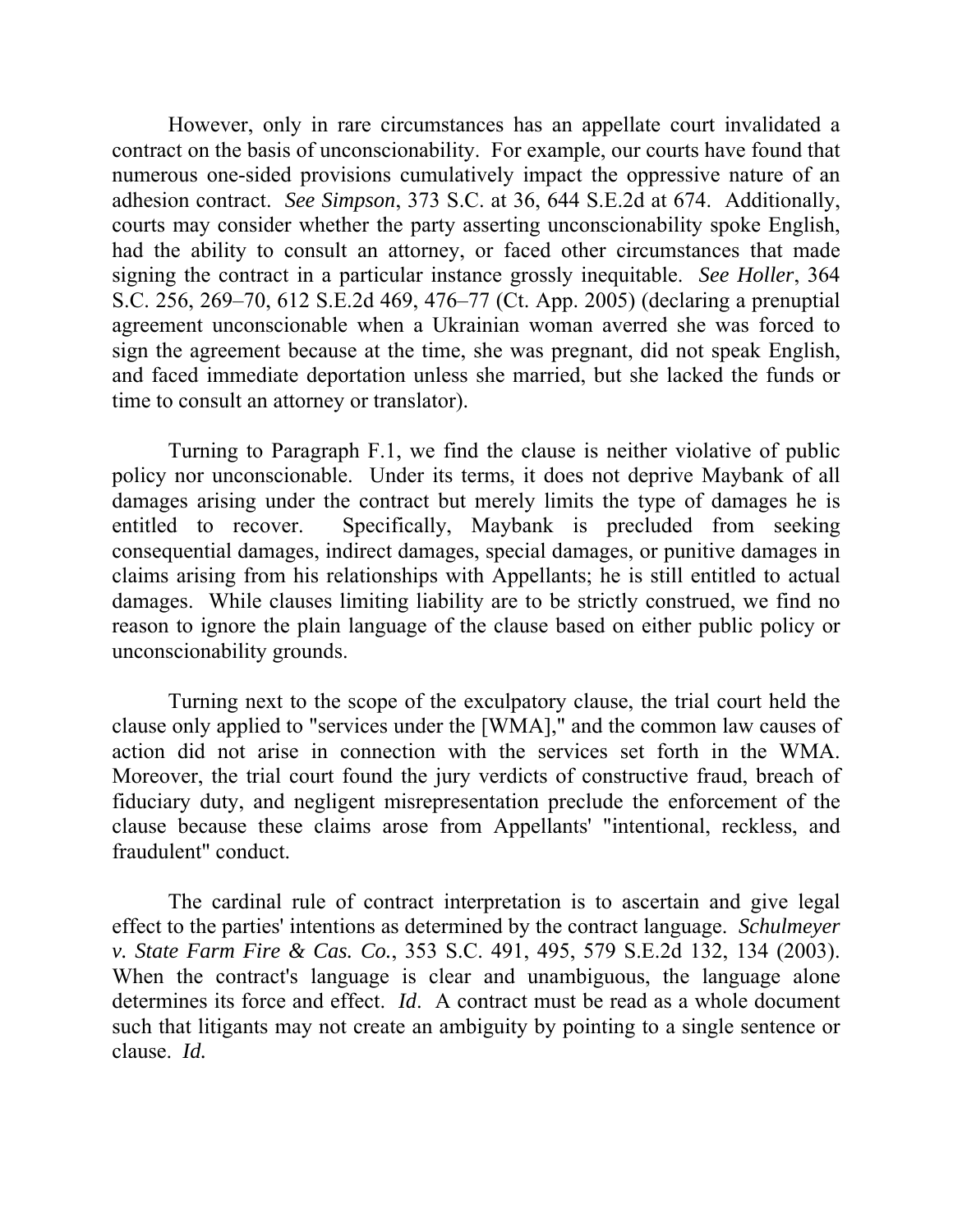had the ability to consult an attorney, or faced other circumstances that made However, only in rare circumstances has an appellate court invalidated a contract on the basis of unconscionability. For example, our courts have found that numerous one-sided provisions cumulatively impact the oppressive nature of an adhesion contract. *See Simpson*, 373 S.C. at 36, 644 S.E.2d at 674. Additionally, courts may consider whether the party asserting unconscionability spoke English, signing the contract in a particular instance grossly inequitable. *See Holler*, 364 S.C. 256, 269–70, 612 S.E.2d 469, 476–77 (Ct. App. 2005) (declaring a prenuptial agreement unconscionable when a Ukrainian woman averred she was forced to sign the agreement because at the time, she was pregnant, did not speak English, and faced immediate deportation unless she married, but she lacked the funds or time to consult an attorney or translator).

Turning to Paragraph F.1, we find the clause is neither violative of public policy nor unconscionable. Under its terms, it does not deprive Maybank of all damages arising under the contract but merely limits the type of damages he is entitled to recover. Specifically, Maybank is precluded from seeking consequential damages, indirect damages, special damages, or punitive damages in claims arising from his relationships with Appellants; he is still entitled to actual damages. While clauses limiting liability are to be strictly construed, we find no reason to ignore the plain language of the clause based on either public policy or unconscionability grounds.

Turning next to the scope of the exculpatory clause, the trial court held the clause only applied to "services under the [WMA]," and the common law causes of action did not arise in connection with the services set forth in the WMA. Moreover, the trial court found the jury verdicts of constructive fraud, breach of fiduciary duty, and negligent misrepresentation preclude the enforcement of the clause because these claims arose from Appellants' "intentional, reckless, and fraudulent" conduct.

 effect to the parties' intentions as determined by the contract language. *Schulmeyer*  determines its force and effect. *Id*. A contract must be read as a whole document The cardinal rule of contract interpretation is to ascertain and give legal *v. State Farm Fire & Cas. Co.*, 353 S.C. 491, 495, 579 S.E.2d 132, 134 (2003). When the contract's language is clear and unambiguous, the language alone such that litigants may not create an ambiguity by pointing to a single sentence or clause. *Id.*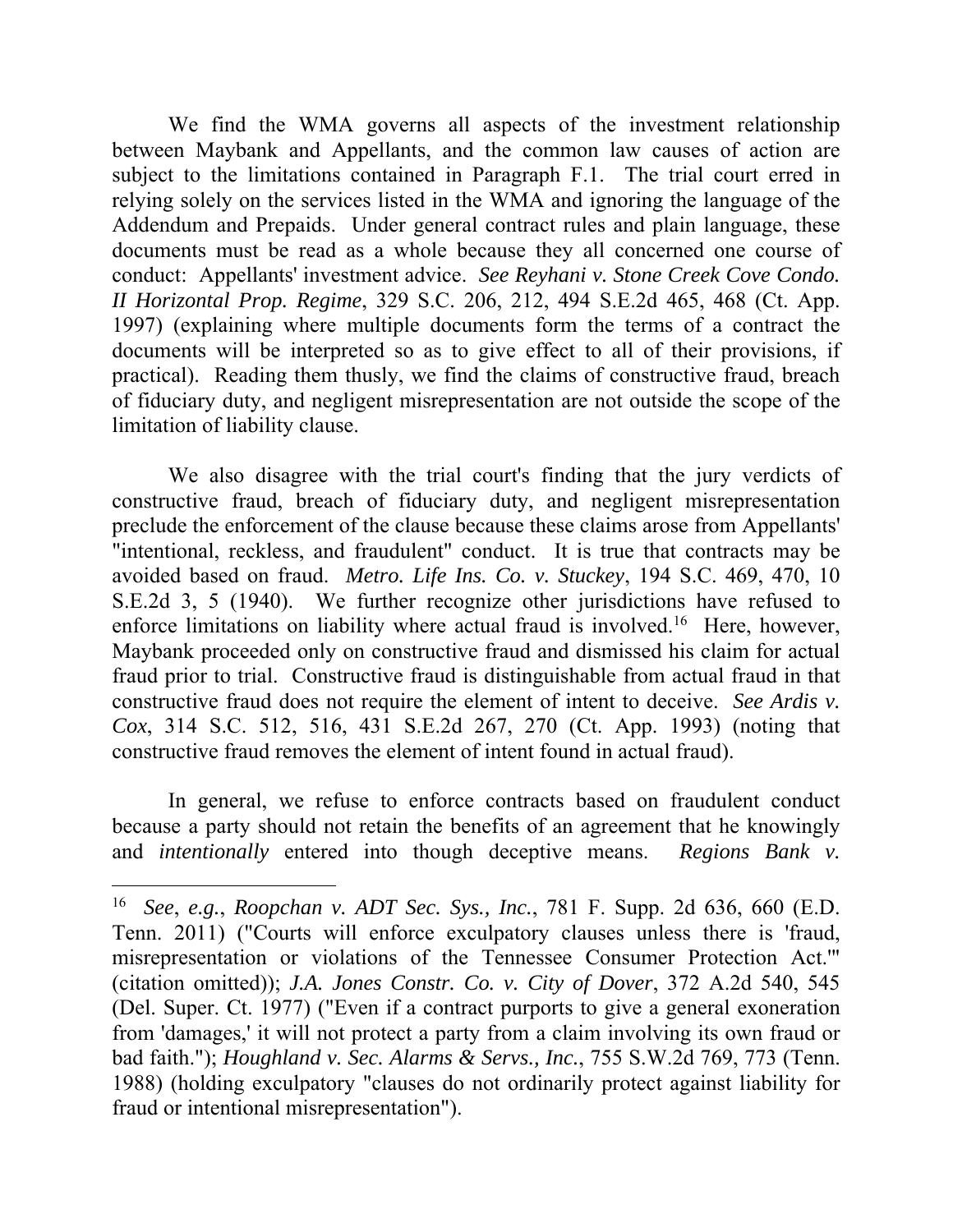conduct: Appellants' investment advice. *See Reyhani v. Stone Creek Cove Condo.*  We find the WMA governs all aspects of the investment relationship between Maybank and Appellants, and the common law causes of action are subject to the limitations contained in Paragraph F.1. The trial court erred in relying solely on the services listed in the WMA and ignoring the language of the Addendum and Prepaids. Under general contract rules and plain language, these documents must be read as a whole because they all concerned one course of *II Horizontal Prop. Regime*, 329 S.C. 206, 212, 494 S.E.2d 465, 468 (Ct. App. 1997) (explaining where multiple documents form the terms of a contract the documents will be interpreted so as to give effect to all of their provisions, if practical). Reading them thusly, we find the claims of constructive fraud, breach of fiduciary duty, and negligent misrepresentation are not outside the scope of the limitation of liability clause.

 S.E.2d 3, 5 (1940). We further recognize other jurisdictions have refused to enforce limitations on liability where actual fraud is involved.<sup>16</sup> Here, however, We also disagree with the trial court's finding that the jury verdicts of constructive fraud, breach of fiduciary duty, and negligent misrepresentation preclude the enforcement of the clause because these claims arose from Appellants' "intentional, reckless, and fraudulent" conduct. It is true that contracts may be avoided based on fraud. *Metro. Life Ins. Co. v. Stuckey*, 194 S.C. 469, 470, 10 Maybank proceeded only on constructive fraud and dismissed his claim for actual fraud prior to trial. Constructive fraud is distinguishable from actual fraud in that constructive fraud does not require the element of intent to deceive. *See Ardis v. Cox*, 314 S.C. 512, 516, 431 S.E.2d 267, 270 (Ct. App. 1993) (noting that constructive fraud removes the element of intent found in actual fraud).

In general, we refuse to enforce contracts based on fraudulent conduct because a party should not retain the benefits of an agreement that he knowingly and *intentionally* entered into though deceptive means. *Regions Bank v.* 

<sup>16</sup>  from 'damages,' it will not protect a party from a claim involving its own fraud or <sup>16</sup>*See*, *e.g.*, *Roopchan v. ADT Sec. Sys., Inc.*, 781 F. Supp. 2d 636, 660 (E.D. Tenn. 2011) ("Courts will enforce exculpatory clauses unless there is 'fraud, misrepresentation or violations of the Tennessee Consumer Protection Act.'" (citation omitted)); *J.A. Jones Constr. Co. v. City of Dover*, 372 A.2d 540, 545 (Del. Super. Ct. 1977) ("Even if a contract purports to give a general exoneration bad faith."); *Houghland v. Sec. Alarms & Servs., Inc.*, 755 S.W.2d 769, 773 (Tenn. 1988) (holding exculpatory "clauses do not ordinarily protect against liability for fraud or intentional misrepresentation").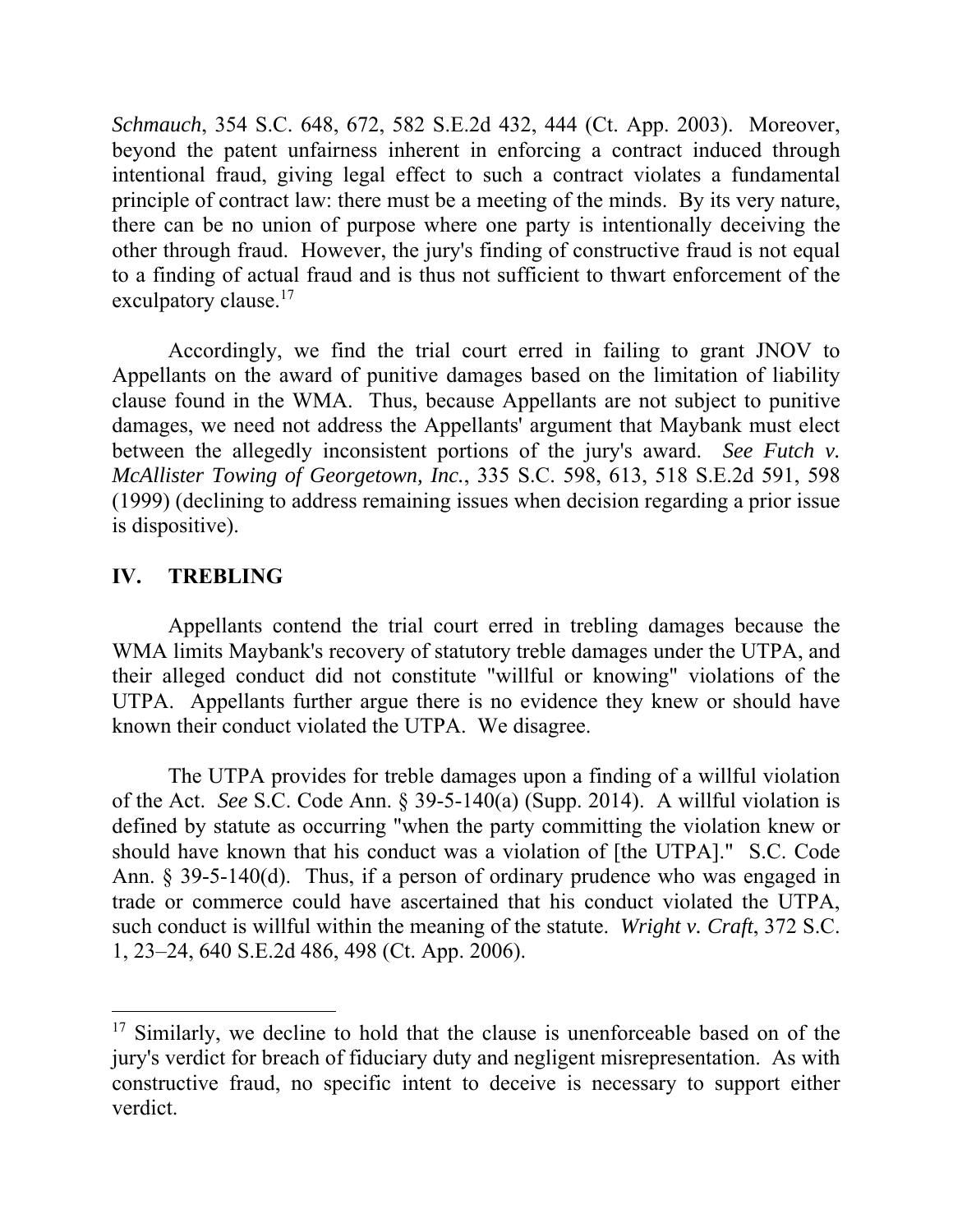other through fraud. However, the jury's finding of constructive fraud is not equal *Schmauch*, 354 S.C. 648, 672, 582 S.E.2d 432, 444 (Ct. App. 2003). Moreover, beyond the patent unfairness inherent in enforcing a contract induced through intentional fraud, giving legal effect to such a contract violates a fundamental principle of contract law: there must be a meeting of the minds. By its very nature, there can be no union of purpose where one party is intentionally deceiving the to a finding of actual fraud and is thus not sufficient to thwart enforcement of the exculpatory clause.<sup>17</sup>

Accordingly, we find the trial court erred in failing to grant JNOV to Appellants on the award of punitive damages based on the limitation of liability clause found in the WMA. Thus, because Appellants are not subject to punitive damages, we need not address the Appellants' argument that Maybank must elect between the allegedly inconsistent portions of the jury's award. *See Futch v. McAllister Towing of Georgetown, Inc.*, 335 S.C. 598, 613, 518 S.E.2d 591, 598 (1999) (declining to address remaining issues when decision regarding a prior issue is dispositive).

# **IV. TREBLING**

 $\overline{a}$ 

Appellants contend the trial court erred in trebling damages because the WMA limits Maybank's recovery of statutory treble damages under the UTPA, and their alleged conduct did not constitute "willful or knowing" violations of the UTPA. Appellants further argue there is no evidence they knew or should have known their conduct violated the UTPA. We disagree.

 of the Act. *See* S.C. Code Ann. § 39-5-140(a) (Supp. 2014). A willful violation is Ann. § 39-5-140(d). Thus, if a person of ordinary prudence who was engaged in The UTPA provides for treble damages upon a finding of a willful violation defined by statute as occurring "when the party committing the violation knew or should have known that his conduct was a violation of [the UTPA]." S.C. Code trade or commerce could have ascertained that his conduct violated the UTPA, such conduct is willful within the meaning of the statute. *Wright v. Craft*, 372 S.C. 1, 23–24, 640 S.E.2d 486, 498 (Ct. App. 2006).

<sup>&</sup>lt;sup>17</sup> Similarly, we decline to hold that the clause is unenforceable based on of the jury's verdict for breach of fiduciary duty and negligent misrepresentation. As with constructive fraud, no specific intent to deceive is necessary to support either verdict.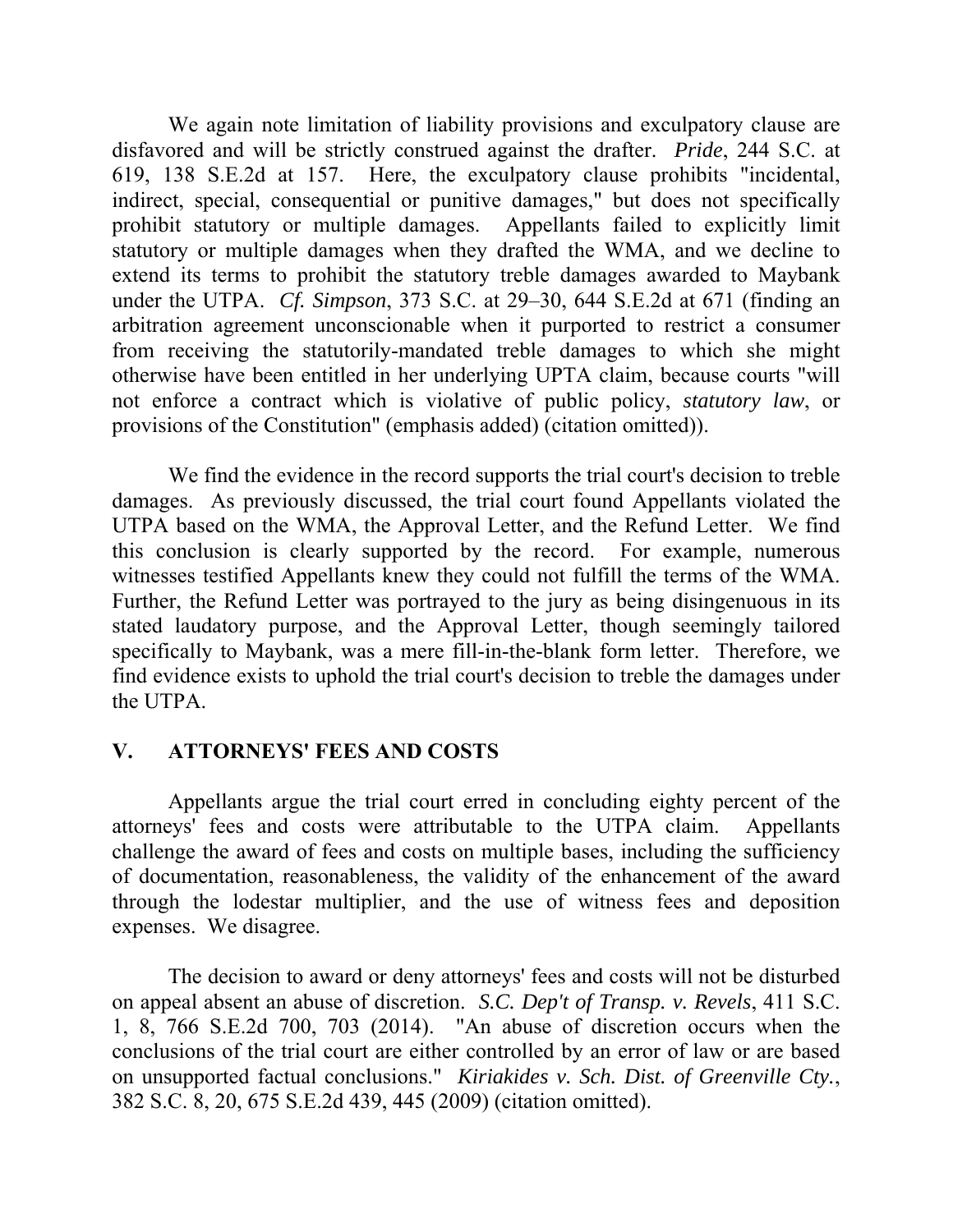619, 138 S.E.2d at 157. Here, the exculpatory clause prohibits "incidental, statutory or multiple damages when they drafted the WMA, and we decline to extend its terms to prohibit the statutory treble damages awarded to Maybank from receiving the statutorily-mandated treble damages to which she might We again note limitation of liability provisions and exculpatory clause are disfavored and will be strictly construed against the drafter. *Pride*, 244 S.C. at indirect, special, consequential or punitive damages," but does not specifically prohibit statutory or multiple damages. Appellants failed to explicitly limit under the UTPA. *Cf. Simpson*, 373 S.C. at 29–30, 644 S.E.2d at 671 (finding an arbitration agreement unconscionable when it purported to restrict a consumer otherwise have been entitled in her underlying UPTA claim, because courts "will not enforce a contract which is violative of public policy, *statutory law*, or provisions of the Constitution" (emphasis added) (citation omitted)).

 stated laudatory purpose, and the Approval Letter, though seemingly tailored We find the evidence in the record supports the trial court's decision to treble damages. As previously discussed, the trial court found Appellants violated the UTPA based on the WMA, the Approval Letter, and the Refund Letter. We find this conclusion is clearly supported by the record. For example, numerous witnesses testified Appellants knew they could not fulfill the terms of the WMA. Further, the Refund Letter was portrayed to the jury as being disingenuous in its specifically to Maybank, was a mere fill-in-the-blank form letter. Therefore, we find evidence exists to uphold the trial court's decision to treble the damages under the UTPA.

# **V. ATTORNEYS' FEES AND COSTS**

Appellants argue the trial court erred in concluding eighty percent of the attorneys' fees and costs were attributable to the UTPA claim. Appellants challenge the award of fees and costs on multiple bases, including the sufficiency of documentation, reasonableness, the validity of the enhancement of the award through the lodestar multiplier, and the use of witness fees and deposition expenses. We disagree.

 1, 8, 766 S.E.2d 700, 703 (2014). "An abuse of discretion occurs when the The decision to award or deny attorneys' fees and costs will not be disturbed on appeal absent an abuse of discretion. *S.C. Dep't of Transp. v. Revels*, 411 S.C. conclusions of the trial court are either controlled by an error of law or are based on unsupported factual conclusions." *Kiriakides v. Sch. Dist. of Greenville Cty.*, 382 S.C. 8, 20, 675 S.E.2d 439, 445 (2009) (citation omitted).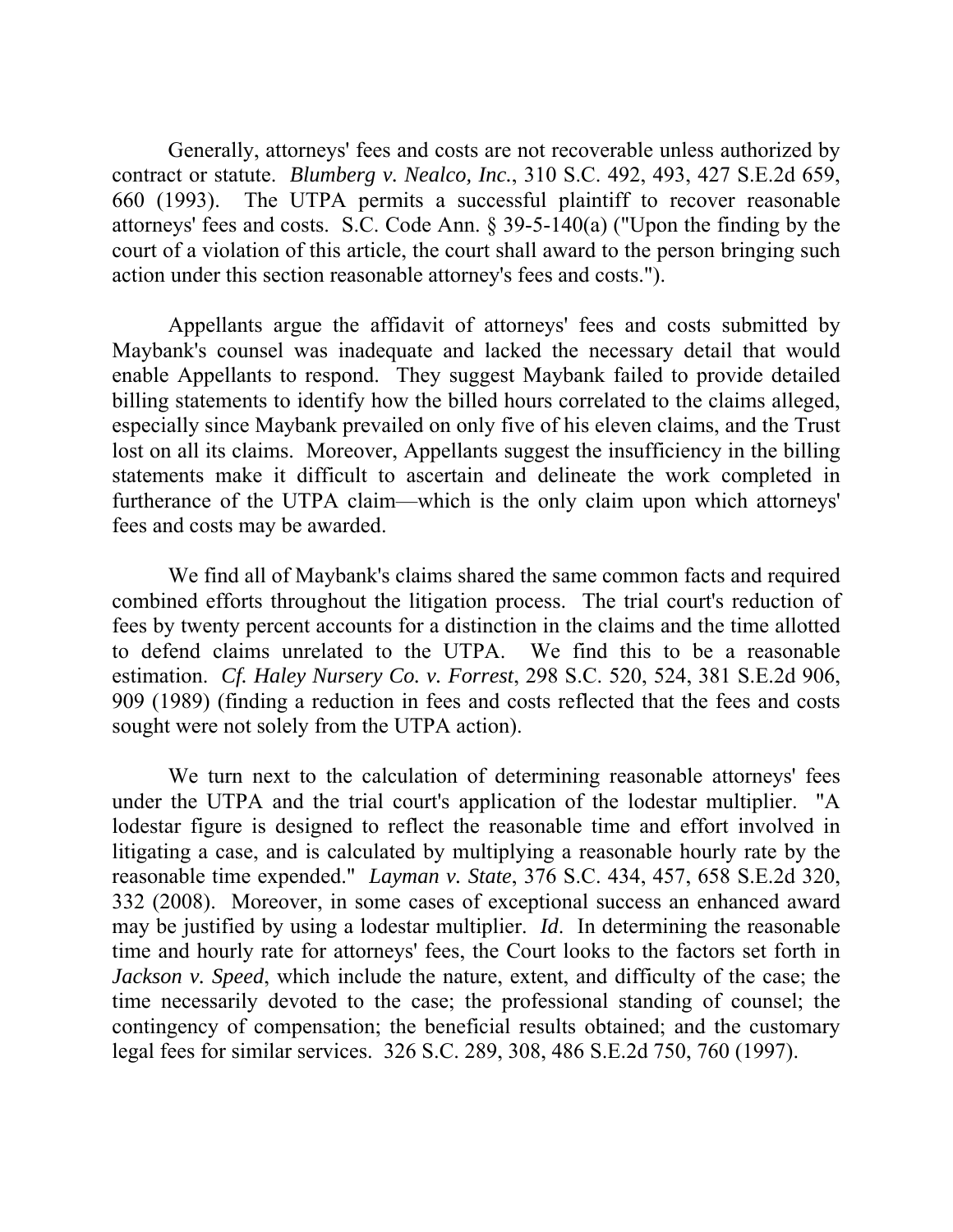Generally, attorneys' fees and costs are not recoverable unless authorized by contract or statute. *Blumberg v. Nealco, Inc.*, 310 S.C. 492, 493, 427 S.E.2d 659, 660 (1993). The UTPA permits a successful plaintiff to recover reasonable attorneys' fees and costs. S.C. Code Ann. § 39-5-140(a) ("Upon the finding by the court of a violation of this article, the court shall award to the person bringing such action under this section reasonable attorney's fees and costs.").

 Appellants argue the affidavit of attorneys' fees and costs submitted by billing statements to identify how the billed hours correlated to the claims alleged, Maybank's counsel was inadequate and lacked the necessary detail that would enable Appellants to respond. They suggest Maybank failed to provide detailed especially since Maybank prevailed on only five of his eleven claims, and the Trust lost on all its claims. Moreover, Appellants suggest the insufficiency in the billing statements make it difficult to ascertain and delineate the work completed in furtherance of the UTPA claim—which is the only claim upon which attorneys' fees and costs may be awarded.

We find all of Maybank's claims shared the same common facts and required combined efforts throughout the litigation process. The trial court's reduction of fees by twenty percent accounts for a distinction in the claims and the time allotted to defend claims unrelated to the UTPA. We find this to be a reasonable estimation. *Cf. Haley Nursery Co. v. Forrest*, 298 S.C. 520, 524, 381 S.E.2d 906, 909 (1989) (finding a reduction in fees and costs reflected that the fees and costs sought were not solely from the UTPA action).

We turn next to the calculation of determining reasonable attorneys' fees under the UTPA and the trial court's application of the lodestar multiplier. "A lodestar figure is designed to reflect the reasonable time and effort involved in litigating a case, and is calculated by multiplying a reasonable hourly rate by the reasonable time expended." *Layman v. State*, 376 S.C. 434, 457, 658 S.E.2d 320, 332 (2008). Moreover, in some cases of exceptional success an enhanced award may be justified by using a lodestar multiplier. *Id*. In determining the reasonable time and hourly rate for attorneys' fees, the Court looks to the factors set forth in *Jackson v. Speed*, which include the nature, extent, and difficulty of the case; the time necessarily devoted to the case; the professional standing of counsel; the contingency of compensation; the beneficial results obtained; and the customary legal fees for similar services. 326 S.C. 289, 308, 486 S.E.2d 750, 760 (1997).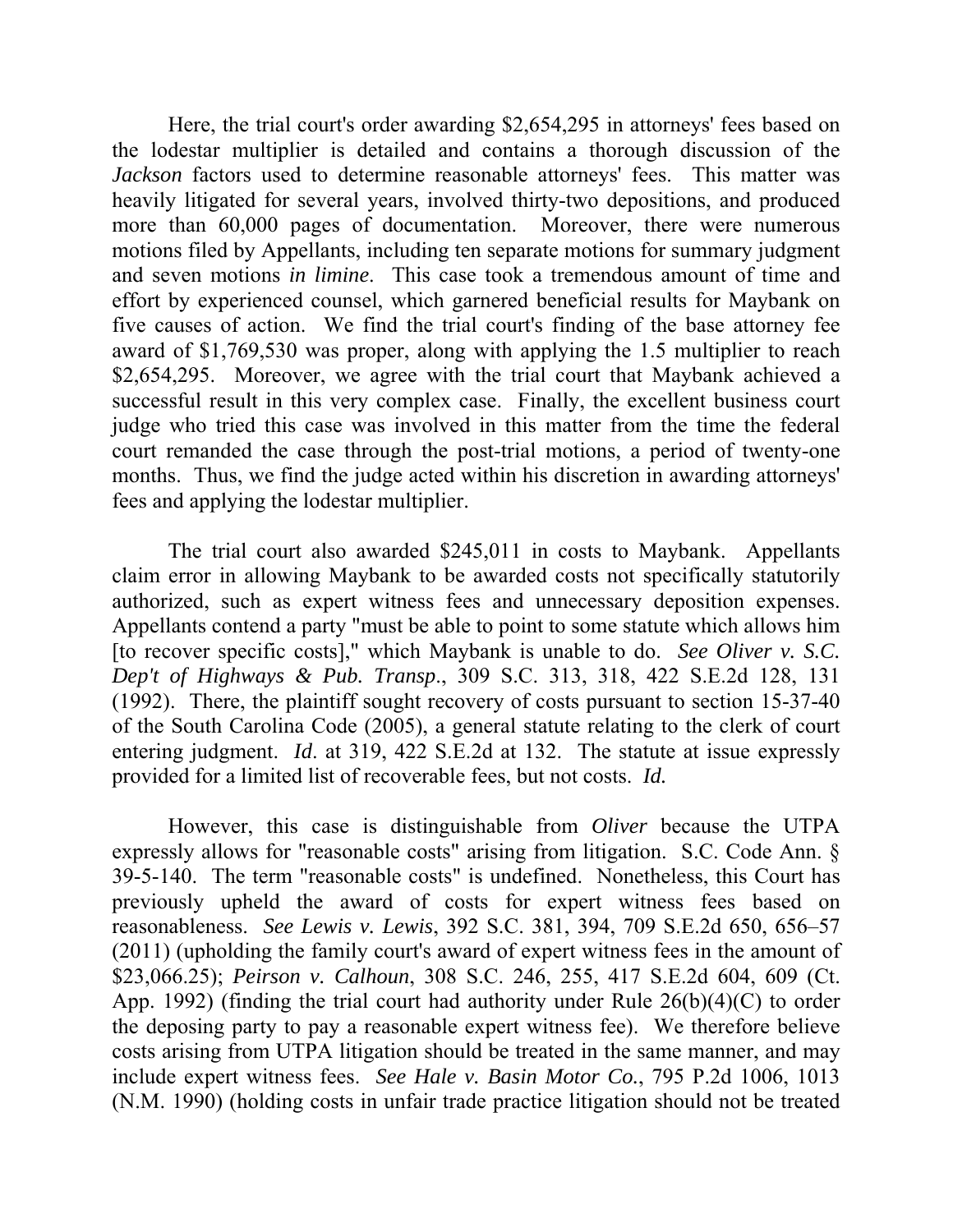judge who tried this case was involved in this matter from the time the federal Here, the trial court's order awarding \$2,654,295 in attorneys' fees based on the lodestar multiplier is detailed and contains a thorough discussion of the *Jackson* factors used to determine reasonable attorneys' fees. This matter was heavily litigated for several years, involved thirty-two depositions, and produced more than 60,000 pages of documentation. Moreover, there were numerous motions filed by Appellants, including ten separate motions for summary judgment and seven motions *in limine*. This case took a tremendous amount of time and effort by experienced counsel, which garnered beneficial results for Maybank on five causes of action. We find the trial court's finding of the base attorney fee award of \$1,769,530 was proper, along with applying the 1.5 multiplier to reach \$2,654,295. Moreover, we agree with the trial court that Maybank achieved a successful result in this very complex case. Finally, the excellent business court court remanded the case through the post-trial motions, a period of twenty-one months. Thus, we find the judge acted within his discretion in awarding attorneys' fees and applying the lodestar multiplier.

 entering judgment. *Id*. at 319, 422 S.E.2d at 132. The statute at issue expressly provided for a limited list of recoverable fees, but not costs. *Id.*  The trial court also awarded \$245,011 in costs to Maybank. Appellants claim error in allowing Maybank to be awarded costs not specifically statutorily authorized, such as expert witness fees and unnecessary deposition expenses. Appellants contend a party "must be able to point to some statute which allows him [to recover specific costs]," which Maybank is unable to do. *See Oliver v. S.C. Dep't of Highways & Pub. Transp*., 309 S.C. 313, 318, 422 S.E.2d 128, 131 (1992). There, the plaintiff sought recovery of costs pursuant to section 15-37-40 of the South Carolina Code (2005), a general statute relating to the clerk of court

 39-5-140. The term "reasonable costs" is undefined. Nonetheless, this Court has the deposing party to pay a reasonable expert witness fee). We therefore believe However, this case is distinguishable from *Oliver* because the UTPA expressly allows for "reasonable costs" arising from litigation. S.C. Code Ann. § previously upheld the award of costs for expert witness fees based on reasonableness. *See Lewis v. Lewis*, 392 S.C. 381, 394, 709 S.E.2d 650, 656–57 (2011) (upholding the family court's award of expert witness fees in the amount of \$23,066.25); *Peirson v. Calhoun*, 308 S.C. 246, 255, 417 S.E.2d 604, 609 (Ct. App. 1992) (finding the trial court had authority under Rule  $26(b)(4)(C)$  to order costs arising from UTPA litigation should be treated in the same manner, and may include expert witness fees. *See Hale v. Basin Motor Co.*, 795 P.2d 1006, 1013 (N.M. 1990) (holding costs in unfair trade practice litigation should not be treated